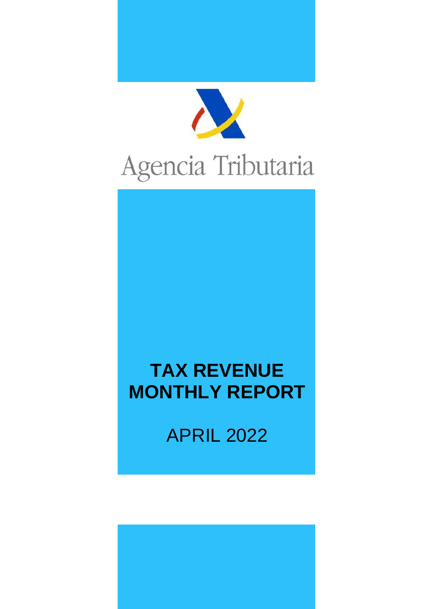

# Agencia Tributaria

# **TAX REVENUE MONTHLY REPORT**

APRIL 2022

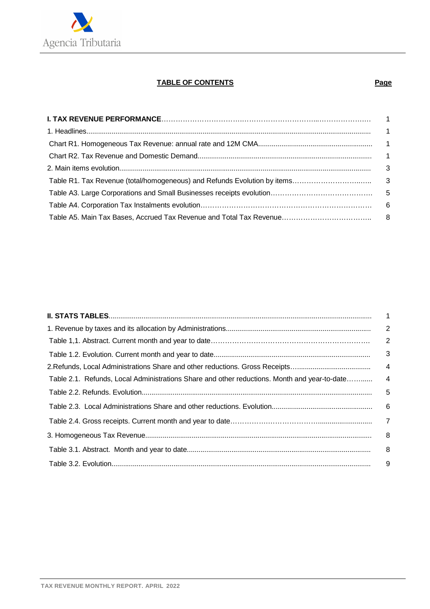

#### **TABLE OF CONTENTS Page Page**

|                                                                                              | $\overline{2}$ |
|----------------------------------------------------------------------------------------------|----------------|
|                                                                                              | 3              |
|                                                                                              | $\overline{4}$ |
| Table 2.1. Refunds, Local Administrations Share and other reductions. Month and year-to-date | $\overline{4}$ |
|                                                                                              | $-5$           |
|                                                                                              |                |
|                                                                                              |                |
|                                                                                              | 8              |
|                                                                                              |                |
|                                                                                              | 9              |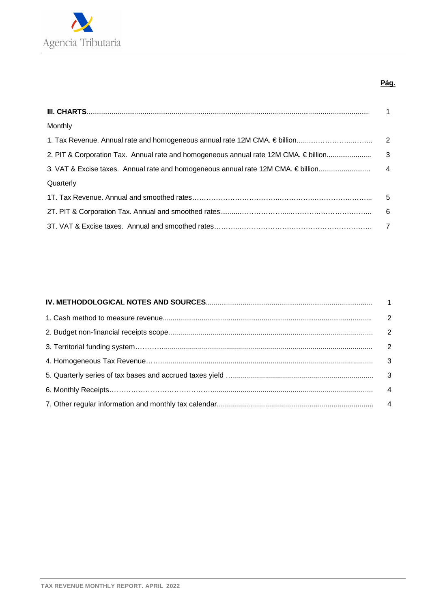

#### **Pág.**

| Monthly   |  |
|-----------|--|
|           |  |
|           |  |
|           |  |
| Quarterly |  |
|           |  |
|           |  |
|           |  |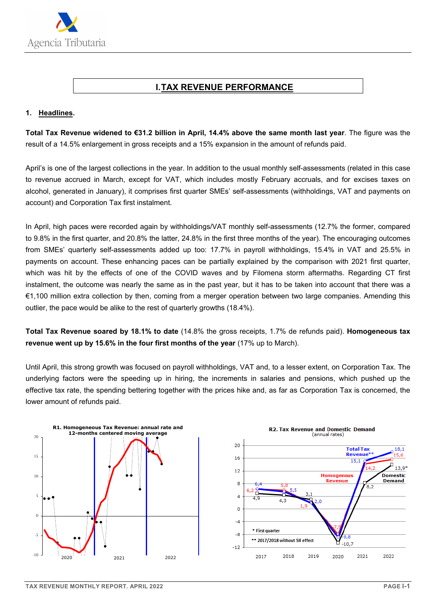

#### **I. TAX REVENUE PERFORMANCE**

#### **1. Headlines.**

**Total Tax Revenue widened to €31.2 billion in April, 14.4% above the same month last year**. The figure was the result of a 14.5% enlargement in gross receipts and a 15% expansion in the amount of refunds paid.

April's is one of the largest collections in the year. In addition to the usual monthly self-assessments (related in this case to revenue accrued in March, except for VAT, which includes mostly February accruals, and for excises taxes on alcohol, generated in January), it comprises first quarter SMEs' self-assessments (withholdings, VAT and payments on account) and Corporation Tax first instalment.

In April, high paces were recorded again by withholdings/VAT monthly self-assessments (12.7% the former, compared to 9.8% in the first quarter, and 20.8% the latter, 24.8% in the first three months of the year). The encouraging outcomes from SMEs' quarterly self-assessments added up too: 17.7% in payroll withholdings, 15.4% in VAT and 25.5% in payments on account. These enhancing paces can be partially explained by the comparison with 2021 first quarter, which was hit by the effects of one of the COVID waves and by Filomena storm aftermaths. Regarding CT first instalment, the outcome was nearly the same as in the past year, but it has to be taken into account that there was a €1,100 million extra collection by then, coming from a merger operation between two large companies. Amending this outlier, the pace would be alike to the rest of quarterly growths (18.4%).

**Total Tax Revenue soared by 18.1% to date** (14.8% the gross receipts, 1.7% de refunds paid). **Homogeneous tax revenue went up by 15.6% in the four first months of the year** (17% up to March).

Until April, this strong growth was focused on payroll withholdings, VAT and, to a lesser extent, on Corporation Tax. The underlying factors were the speeding up in hiring, the increments in salaries and pensions, which pushed up the effective tax rate, the spending bettering together with the prices hike and, as far as Corporation Tax is concerned, the lower amount of refunds paid.



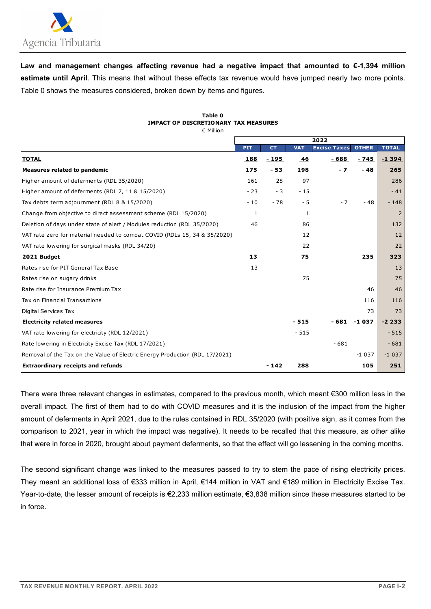

**Law and management changes affecting revenue had a negative impact that amounted to €-1,394 million estimate until April**. This means that without these effects tax revenue would have jumped nearly two more points. Table 0 shows the measures considered, broken down by items and figures.

| Table 0                                     |
|---------------------------------------------|
| <b>IMPACT OF DISCRETIONARY TAX MEASURES</b> |
| $\epsilon$ Million                          |

|                                                                             |              |           |            | 2022                |               |                |
|-----------------------------------------------------------------------------|--------------|-----------|------------|---------------------|---------------|----------------|
|                                                                             | <b>PIT</b>   | <b>CT</b> | <b>VAT</b> | <b>Excise Taxes</b> | <b>OTHER</b>  | <b>TOTAL</b>   |
| <b>TOTAL</b>                                                                | 188          | - 195     | 46         | $-688$              | - 745         | $-1394$        |
| <b>Measures related to pandemic</b>                                         | 175          | $-53$     | 198        | $-7$                | $-48$         | 265            |
| Higher amount of deferments (RDL 35/2020)                                   | 161          | 28        | 97         |                     |               | 286            |
| Higher amount of deferments (RDL 7, 11 & 15/2020)                           | $-23$        | $-3$      | $-15$      |                     |               | $-41$          |
| Tax debts term adjournment (RDL 8 & 15/2020)                                | $-10$        | $-78$     | - 5        | $-7$                | $-48$         | $-148$         |
| Change from objective to direct assessment scheme (RDL 15/2020)             | $\mathbf{1}$ |           | 1          |                     |               | $\overline{2}$ |
| Deletion of days under state of alert / Modules reduction (RDL 35/2020)     | 46           |           | 86         |                     |               | 132            |
| VAT rate zero for material needed to combat COVID (RDLs 15, 34 & 35/2020)   |              |           | 12         |                     |               | 12             |
| VAT rate lowering for surgical masks (RDL 34/20)                            |              |           | 22         |                     |               | 22             |
| 2021 Budget                                                                 | 13           |           | 75         |                     | 235           | 323            |
| Rates rise for PIT General Tax Base                                         | 13           |           |            |                     |               | 13             |
| Rates rise on sugary drinks                                                 |              |           | 75         |                     |               | 75             |
| Rate rise for Insurance Premium Tax                                         |              |           |            |                     | 46            | 46             |
| Tax on Financial Transactions                                               |              |           |            |                     | 116           | 116            |
| Digital Services Tax                                                        |              |           |            |                     | 73            | 73             |
| <b>Electricity related measures</b>                                         |              |           | $-515$     |                     | $-681 - 1037$ | $-2233$        |
| VAT rate lowering for electricity (RDL 12/2021)                             |              |           | $-515$     |                     |               | $-515$         |
| Rate lowering in Electricity Excise Tax (RDL 17/2021)                       |              |           |            | $-681$              |               | $-681$         |
| Removal of the Tax on the Value of Electric Energy Production (RDL 17/2021) |              |           |            |                     | $-1037$       | $-1037$        |
| <b>Extraordinary receipts and refunds</b>                                   |              | $-142$    | 288        |                     | 105           | 251            |

There were three relevant changes in estimates, compared to the previous month, which meant €300 million less in the overall impact. The first of them had to do with COVID measures and it is the inclusion of the impact from the higher amount of deferments in April 2021, due to the rules contained in RDL 35/2020 (with positive sign, as it comes from the comparison to 2021, year in which the impact was negative). It needs to be recalled that this measure, as other alike that were in force in 2020, brought about payment deferments, so that the effect will go lessening in the coming months.

The second significant change was linked to the measures passed to try to stem the pace of rising electricity prices. They meant an additional loss of €333 million in April, €144 million in VAT and €189 million in Electricity Excise Tax. Year-to-date, the lesser amount of receipts is €2,233 million estimate, €3,838 million since these measures started to be in force.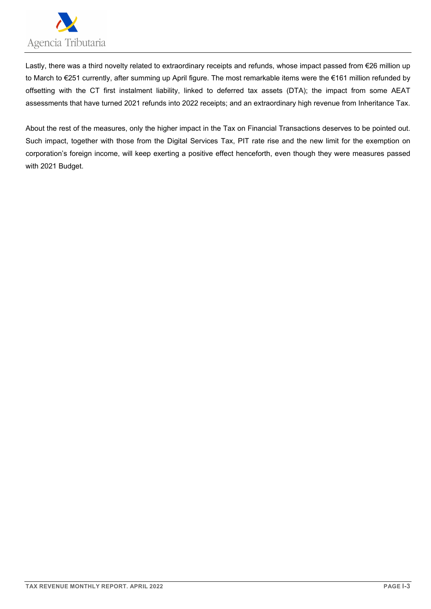

Lastly, there was a third novelty related to extraordinary receipts and refunds, whose impact passed from €26 million up to March to €251 currently, after summing up April figure. The most remarkable items were the €161 million refunded by offsetting with the CT first instalment liability, linked to deferred tax assets (DTA); the impact from some AEAT assessments that have turned 2021 refunds into 2022 receipts; and an extraordinary high revenue from Inheritance Tax.

About the rest of the measures, only the higher impact in the Tax on Financial Transactions deserves to be pointed out. Such impact, together with those from the Digital Services Tax, PIT rate rise and the new limit for the exemption on corporation's foreign income, will keep exerting a positive effect henceforth, even though they were measures passed with 2021 Budget.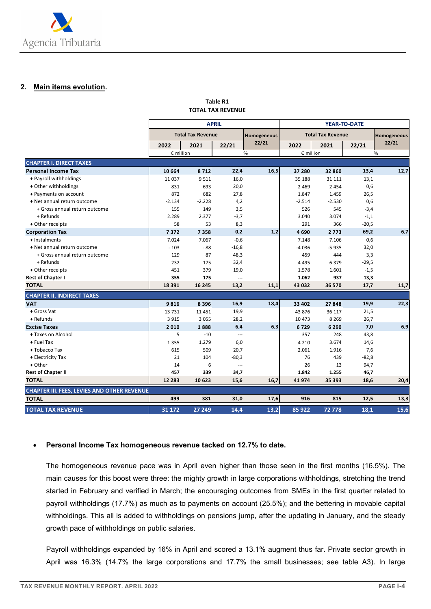

#### **2. Main items evolution.**

#### **Table R1 TOTAL TAX REVENUE**

|                                                    |           |                          | <b>APRIL</b>             |               | <b>YEAR-TO-DATE</b> |                          |         |               |  |  |
|----------------------------------------------------|-----------|--------------------------|--------------------------|---------------|---------------------|--------------------------|---------|---------------|--|--|
|                                                    |           | <b>Total Tax Revenue</b> |                          | Homogeneous   |                     | <b>Total Tax Revenue</b> |         | Homogeneous   |  |  |
|                                                    | 2022      | 2021                     | 22/21                    | 22/21         | 2022                | 2021                     | 22/21   | 22/21         |  |  |
|                                                    | € million |                          |                          | $\frac{0}{0}$ | € million           |                          |         | $\frac{0}{0}$ |  |  |
| <b>CHAPTER I. DIRECT TAXES</b>                     |           |                          |                          |               |                     |                          |         |               |  |  |
| <b>Personal Income Tax</b>                         | 10 664    | 8712                     | 22,4                     | 16,5          | 37 280              | 32 860                   | 13,4    | 12,7          |  |  |
| + Payroll withholdings                             | 11 0 37   | 9 5 1 1                  | 16,0                     |               | 35 188              | 31 111                   | 13,1    |               |  |  |
| + Other withholdings                               | 831       | 693                      | 20,0                     |               | 2 4 6 9             | 2 4 5 4                  | 0,6     |               |  |  |
| + Payments on account                              | 872       | 682                      | 27,8                     |               | 1.847               | 1.459                    | 26,5    |               |  |  |
| + Net annual return outcome                        | $-2.134$  | $-2.228$                 | 4,2                      |               | $-2.514$            | $-2.530$                 | 0,6     |               |  |  |
| + Gross annual return outcome                      | 155       | 149                      | 3,5                      |               | 526                 | 545                      | $-3,4$  |               |  |  |
| + Refunds                                          | 2.289     | 2.377                    | $-3,7$                   |               | 3.040               | 3.074                    | $-1,1$  |               |  |  |
| + Other receipts                                   | 58        | 53                       | 8,3                      |               | 291                 | 366                      | $-20,5$ |               |  |  |
| <b>Corporation Tax</b>                             | 7372      | 7358                     | 0,2                      | 1,2           | 4690                | 2 7 7 3                  | 69,2    | 6,7           |  |  |
| + Instalments                                      | 7.024     | 7.067                    | $-0,6$                   |               | 7.148               | 7.106                    | 0,6     |               |  |  |
| + Net annual return outcome                        | $-103$    | $-88$                    | $-16,8$                  |               | -4 036              | $-5935$                  | 32,0    |               |  |  |
| + Gross annual return outcome                      | 129       | 87                       | 48,3                     |               | 459                 | 444                      | 3,3     |               |  |  |
| + Refunds                                          | 232       | 175                      | 32,4                     |               | 4 4 9 5             | 6 3 7 9                  | $-29,5$ |               |  |  |
| + Other receipts                                   | 451       | 379                      | 19,0                     |               | 1.578               | 1.601                    | $-1,5$  |               |  |  |
| <b>Rest of Chapter I</b>                           | 355       | 175                      | $\overline{\phantom{a}}$ |               | 1.062               | 937                      | 13,3    |               |  |  |
| <b>TOTAL</b>                                       | 18 3 9 1  | 16 245                   | 13,2                     | 11,1          | 43 032              | 36 570                   | 17,7    | 11,7          |  |  |
| <b>CHAPTER II. INDIRECT TAXES</b>                  |           |                          |                          |               |                     |                          |         |               |  |  |
| <b>VAT</b>                                         | 9816      | 8 3 9 6                  | 16,9                     | 18,4          | 33 402              | 27848                    | 19,9    | 22,3          |  |  |
| + Gross Vat                                        | 13 7 31   | 11 451                   | 19,9                     |               | 43 876              | 36 117                   | 21,5    |               |  |  |
| + Refunds                                          | 3 9 1 5   | 3 0 5 5                  | 28,2                     |               | 10 473              | 8 2 6 9                  | 26,7    |               |  |  |
| <b>Excise Taxes</b>                                | 2010      | 1888                     | 6,4                      | 6,3           | 6729                | 6 2 9 0                  | 7,0     | 6,9           |  |  |
| + Taxes on Alcohol                                 | 5         | $-10$                    | $\overline{a}$           |               | 357                 | 248                      | 43,8    |               |  |  |
| + Fuel Tax                                         | 1 3 5 5   | 1.279                    | 6,0                      |               | 4 2 1 0             | 3.674                    | 14,6    |               |  |  |
| + Tobacco Tax                                      | 615       | 509                      | 20,7                     |               | 2.061               | 1.916                    | 7,6     |               |  |  |
| + Electricity Tax                                  | 21        | 104                      | $-80,3$                  |               | 76                  | 439                      | $-82,8$ |               |  |  |
| + Other                                            | 14        | 6                        | $\overline{a}$           |               | 26                  | 13                       | 94,7    |               |  |  |
| <b>Rest of Chapter II</b>                          | 457       | 339                      | 34,7                     |               | 1.842               | 1.255                    | 46,7    |               |  |  |
| <b>TOTAL</b>                                       | 12 2 8 3  | 10 623                   | 15,6                     | 16,7          | 41 974              | 35 393                   | 18,6    | 20,4          |  |  |
| <b>CHAPTER III. FEES, LEVIES AND OTHER REVENUE</b> |           |                          |                          |               |                     |                          |         |               |  |  |
| <b>TOTAL</b>                                       | 499       | 381                      | 31,0                     | 17,6          | 916                 | 815                      | 12,5    | 13,3          |  |  |
| <b>TOTAL TAX REVENUE</b>                           | 31 172    | 27 249                   | 14,4                     | 13,2          | 85 922              | 72778                    | 18,1    | 15,6          |  |  |

#### **Personal Income Tax homogeneous revenue tacked on 12.7% to date.**

The homogeneous revenue pace was in April even higher than those seen in the first months (16.5%). The main causes for this boost were three: the mighty growth in large corporations withholdings, stretching the trend started in February and verified in March; the encouraging outcomes from SMEs in the first quarter related to payroll withholdings (17.7%) as much as to payments on account (25.5%); and the bettering in movable capital withholdings. This all is added to withholdings on pensions jump, after the updating in January, and the steady growth pace of withholdings on public salaries.

Payroll withholdings expanded by 16% in April and scored a 13.1% augment thus far. Private sector growth in April was 16.3% (14.7% the large corporations and 17.7% the small businesses; see table A3). In large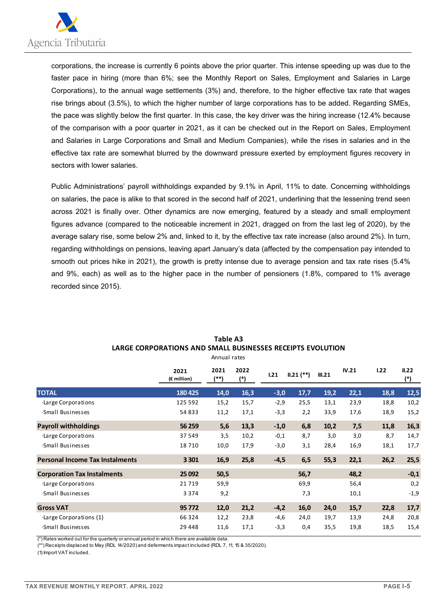

corporations, the increase is currently 6 points above the prior quarter. This intense speeding up was due to the faster pace in hiring (more than 6%; see the Monthly Report on Sales, Employment and Salaries in Large Corporations), to the annual wage settlements (3%) and, therefore, to the higher effective tax rate that wages rise brings about (3.5%), to which the higher number of large corporations has to be added. Regarding SMEs, the pace was slightly below the first quarter. In this case, the key driver was the hiring increase (12.4% because of the comparison with a poor quarter in 2021, as it can be checked out in the Report on Sales, Employment and Salaries in Large Corporations and Small and Medium Companies), while the rises in salaries and in the effective tax rate are somewhat blurred by the downward pressure exerted by employment figures recovery in sectors with lower salaries.

Public Administrations' payroll withholdings expanded by 9.1% in April, 11% to date. Concerning withholdings on salaries, the pace is alike to that scored in the second half of 2021, underlining that the lessening trend seen across 2021 is finally over. Other dynamics are now emerging, featured by a steady and small employment figures advance (compared to the noticeable increment in 2021, dragged on from the last leg of 2020), by the average salary rise, some below 2% and, linked to it, by the effective tax rate increase (also around 2%). In turn, regarding withholdings on pensions, leaving apart January's data (affected by the compensation pay intended to smooth out prices hike in 2021), the growth is pretty intense due to average pension and tax rate rises (5.4% and 9%, each) as well as to the higher pace in the number of pensioners (1.8%, compared to 1% average recorded since 2015).

|                                        | 2021<br>(€ million) | 2021<br>(**) | 2022<br>$(*)$ | 1.21   | $II.21$ $(**)$ | III.21 | IV.21 | 1.22 | II.22<br>$(*)$ |
|----------------------------------------|---------------------|--------------|---------------|--------|----------------|--------|-------|------|----------------|
| <b>TOTAL</b>                           | 180 425             | 14,0         | 16,3          | $-3,0$ | 17,7           | 19,2   | 22,1  | 18,8 | 12,5           |
| ·Large Corporations                    | 125 592             | 15,2         | 15,7          | $-2,9$ | 25,5           | 13,1   | 23,9  | 18,8 | 10,2           |
| Small Businesses                       | 54 833              | 11,2         | 17,1          | $-3,3$ | 2,2            | 33,9   | 17,6  | 18,9 | 15,2           |
| <b>Payroll withholdings</b>            | 56 259              | 5,6          | 13,3          | $-1,0$ | 6,8            | 10,2   | 7,5   | 11,8 | 16,3           |
| ·Large Corporations                    | 37 549              | 3,5          | 10,2          | $-0,1$ | 8,7            | 3,0    | 3,0   | 8,7  | 14,7           |
| Small Businesses                       | 18710               | 10,0         | 17,9          | $-3,0$ | 3,1            | 28,4   | 16,9  | 18,1 | 17,7           |
| <b>Personal Income Tax Instalments</b> | 3 3 0 1             | 16,9         | 25,8          | $-4,5$ | 6, 5           | 55,3   | 22,1  | 26,2 | 25,5           |
| <b>Corporation Tax Instalments</b>     | 25 092              | 50,5         |               |        | 56,7           |        | 48,2  |      | $-0,1$         |
| Large Corporations                     | 21719               | 59,9         |               |        | 69,9           |        | 56,4  |      | 0,2            |
| Small Businesses                       | 3 3 7 4             | 9,2          |               |        | 7,3            |        | 10,1  |      | $-1,9$         |
| <b>Gross VAT</b>                       | 95 772              | 12,0         | 21,2          | $-4,2$ | 16,0           | 24,0   | 15,7  | 22,8 | 17,7           |
| Large Corporations (1)                 | 66 3 2 4            | 12,2         | 23,8          | $-4,6$ | 24,0           | 19,7   | 13,9  | 24,8 | 20,8           |
| Small Businesses                       | 29 4 4 8            | 11,6         | 17,1          | $-3,3$ | 0,4            | 35,5   | 19,8  | 18,5 | 15,4           |

#### **Table A3 LARGE CORPORATIONS AND SMALL BUSINESSES RECEIPTS EVOLUTION** Annual rates

(\*) Rates worked out for the quarterly or annual period in which there are available data.

(\*\*) Receipts displaced to May (RDL 14/2020) and deferments impact included (RDL 7, 11, 15 & 35/2020).

(1) Import VAT included.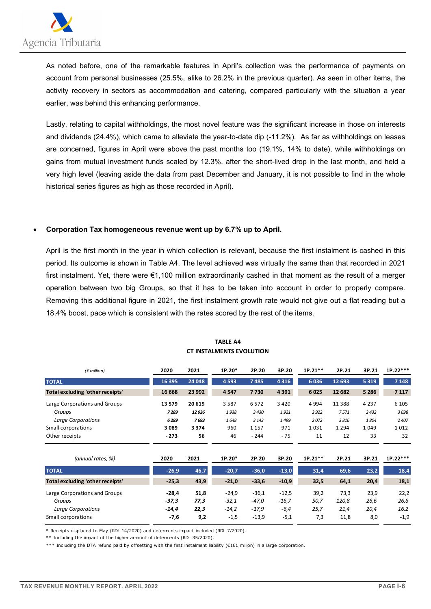

As noted before, one of the remarkable features in April's collection was the performance of payments on account from personal businesses (25.5%, alike to 26.2% in the previous quarter). As seen in other items, the activity recovery in sectors as accommodation and catering, compared particularly with the situation a year earlier, was behind this enhancing performance.

Lastly, relating to capital withholdings, the most novel feature was the significant increase in those on interests and dividends (24.4%), which came to alleviate the year-to-date dip (-11.2%). As far as withholdings on leases are concerned, figures in April were above the past months too (19.1%, 14% to date), while withholdings on gains from mutual investment funds scaled by 12.3%, after the short-lived drop in the last month, and held a very high level (leaving aside the data from past December and January, it is not possible to find in the whole historical series figures as high as those recorded in April).

#### **Corporation Tax homogeneous revenue went up by 6.7% up to April.**

April is the first month in the year in which collection is relevant, because the first instalment is cashed in this period. Its outcome is shown in Table A4. The level achieved was virtually the same than that recorded in 2021 first instalment. Yet, there were €1,100 million extraordinarily cashed in that moment as the result of a merger operation between two big Groups, so that it has to be taken into account in order to properly compare. Removing this additional figure in 2021, the first instalment growth rate would not give out a flat reading but a 18.4% boost, pace which is consistent with the rates scored by the rest of the items.

| $(\epsilon$ million)             | 2020    | 2021    | $1P.20*$ | 2P.20   | 3P.20   | $1P.21**$ | 2P.21    | 3P.21   | $1P.22***$ |
|----------------------------------|---------|---------|----------|---------|---------|-----------|----------|---------|------------|
| <b>TOTAL</b>                     | 16 3 95 | 24 048  | 4 5 9 3  | 7485    | 4 3 1 6 | 6036      | 12 693   | 5 3 1 9 | 7 1 4 8    |
| Total excluding 'other receipts' | 16 6 68 | 23 992  | 4547     | 7730    | 4 3 9 1 | 6025      | 12 682   | 5 2 8 6 | 7 1 1 7    |
| Large Corporations and Groups    | 13 5 79 | 20 619  | 3 5 8 7  | 6572    | 3 4 2 0 | 4994      | 11 3 8 8 | 4 2 3 7 | 6 1 0 5    |
| Groups                           | 7 289   | 12926   | 1938     | 3430    | 1921    | 2922      | 7571     | 2432    | 3698       |
| Large Corporations               | 6289    | 7693    | 1648     | 3 1 4 3 | 1499    | 2072      | 3816     | 1804    | 2407       |
| Small corporations               | 3089    | 3 3 7 4 | 960      | 1 1 5 7 | 971     | 1031      | 1 2 9 4  | 1049    | 1012       |
| Other receipts                   | $-273$  | 56      | 46       | $-244$  | $-75$   | 11        | 12       | 33      | 32         |

#### **TABLE A4 CT INSTALMENTS EVOLUTION**

| (annual rates, %)                | 2020    | 2021 | $1P.20*$ | 2P.20   | 3P.20   | $1P.21**$ | 2P.21 | 3P.21 | $1P.22***$ |
|----------------------------------|---------|------|----------|---------|---------|-----------|-------|-------|------------|
| <b>TOTAL</b>                     | $-26,9$ | 46,7 | $-20,7$  | $-36,0$ | $-13,0$ | 31,4      | 69,6  | 23,2  | 18,4       |
| Total excluding 'other receipts' | $-25,3$ | 43,9 | $-21,0$  | $-33,6$ | $-10,9$ | 32,5      | 64,1  | 20,4  | 18,1       |
| Large Corporations and Groups    | $-28.4$ | 51,8 | $-24.9$  | $-36,1$ | $-12,5$ | 39,2      | 73.3  | 23,9  | 22,2       |
| Groups                           | $-37,3$ | 77,3 | $-32,1$  | $-47,0$ | $-16,7$ | 50,7      | 120.8 | 26,6  | 26,6       |
| <b>Large Corporations</b>        | $-14.4$ | 22,3 | $-14.2$  | $-17,9$ | $-6,4$  | 25,7      | 21.4  | 20,4  | 16,2       |
| Small corporations               | $-7,6$  | 9,2  | $-1,5$   | $-13,9$ | $-5,1$  | 7,3       | 11,8  | 8,0   | $-1,9$     |

\* Receipts displaced to May (RDL 14/2020) and deferments impact included (RDL 7/2020).

\*\* Including the impact of the higher amount of deferments (RDL 35/2020).

\*\*\* Including the DTA refund paid by offsetting with the first instalment liability (€161 million) in a large corporation.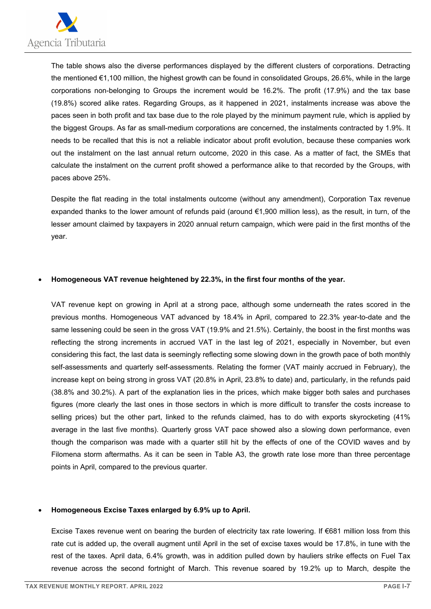

The table shows also the diverse performances displayed by the different clusters of corporations. Detracting the mentioned €1,100 million, the highest growth can be found in consolidated Groups, 26.6%, while in the large corporations non-belonging to Groups the increment would be 16.2%. The profit (17.9%) and the tax base (19.8%) scored alike rates. Regarding Groups, as it happened in 2021, instalments increase was above the paces seen in both profit and tax base due to the role played by the minimum payment rule, which is applied by the biggest Groups. As far as small-medium corporations are concerned, the instalments contracted by 1.9%. It needs to be recalled that this is not a reliable indicator about profit evolution, because these companies work out the instalment on the last annual return outcome, 2020 in this case. As a matter of fact, the SMEs that calculate the instalment on the current profit showed a performance alike to that recorded by the Groups, with paces above 25%.

Despite the flat reading in the total instalments outcome (without any amendment), Corporation Tax revenue expanded thanks to the lower amount of refunds paid (around €1,900 million less), as the result, in turn, of the lesser amount claimed by taxpayers in 2020 annual return campaign, which were paid in the first months of the year.

#### **Homogeneous VAT revenue heightened by 22.3%, in the first four months of the year.**

VAT revenue kept on growing in April at a strong pace, although some underneath the rates scored in the previous months. Homogeneous VAT advanced by 18.4% in April, compared to 22.3% year-to-date and the same lessening could be seen in the gross VAT (19.9% and 21.5%). Certainly, the boost in the first months was reflecting the strong increments in accrued VAT in the last leg of 2021, especially in November, but even considering this fact, the last data is seemingly reflecting some slowing down in the growth pace of both monthly self-assessments and quarterly self-assessments. Relating the former (VAT mainly accrued in February), the increase kept on being strong in gross VAT (20.8% in April, 23.8% to date) and, particularly, in the refunds paid (38.8% and 30.2%). A part of the explanation lies in the prices, which make bigger both sales and purchases figures (more clearly the last ones in those sectors in which is more difficult to transfer the costs increase to selling prices) but the other part, linked to the refunds claimed, has to do with exports skyrocketing (41% average in the last five months). Quarterly gross VAT pace showed also a slowing down performance, even though the comparison was made with a quarter still hit by the effects of one of the COVID waves and by Filomena storm aftermaths. As it can be seen in Table A3, the growth rate lose more than three percentage points in April, compared to the previous quarter.

#### **Homogeneous Excise Taxes enlarged by 6.9% up to April.**

Excise Taxes revenue went on bearing the burden of electricity tax rate lowering. If €681 million loss from this rate cut is added up, the overall augment until April in the set of excise taxes would be 17.8%, in tune with the rest of the taxes. April data, 6.4% growth, was in addition pulled down by hauliers strike effects on Fuel Tax revenue across the second fortnight of March. This revenue soared by 19.2% up to March, despite the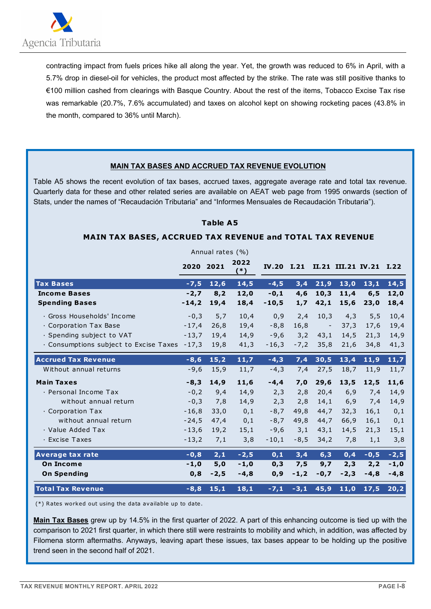

contracting impact from fuels prices hike all along the year. Yet, the growth was reduced to 6% in April, with a 5.7% drop in diesel-oil for vehicles, the product most affected by the strike. The rate was still positive thanks to €100 million cashed from clearings with Basque Country. About the rest of the items, Tobacco Excise Tax rise was remarkable (20.7%, 7.6% accumulated) and taxes on alcohol kept on showing rocketing paces (43.8% in the month, compared to 36% until March).

#### **MAIN TAX BASES AND ACCRUED TAX REVENUE EVOLUTION**

Table A5 shows the recent evolution of tax bases, accrued taxes, aggregate average rate and total tax revenue. Quarterly data for these and other related series are available on AEAT web page from 1995 onwards (section of Stats, under the names of "Recaudación Tributaria" and "Informes Mensuales de Recaudación Tributaria").

#### **Table A5**

#### **MAIN TAX BASES, ACCRUED TAX REVENUE and TOTAL TAX REVENUE**

|                                        |           | Annual rates (%) |               |            |        |                          |                         |        |        |
|----------------------------------------|-----------|------------------|---------------|------------|--------|--------------------------|-------------------------|--------|--------|
|                                        | 2020 2021 |                  | 2022<br>$(*)$ | IV.20 I.21 |        |                          | II.21 III.21 IV.21 I.22 |        |        |
| <b>Tax Bases</b>                       | $-7,5$    | 12,6             | 14,5          | $-4,5$     | 3,4    | 21,9                     | 13,0                    | 13,1   | 14,5   |
| <b>Income Bases</b>                    | $-2,7$    | 8,2              | 12,0          | $-0,1$     | 4,6    | 10,3                     | 11,4                    | 6, 5   | 12,0   |
| <b>Spending Bases</b>                  | $-14,2$   | 19,4             | 18,4          | $-10,5$    | 1,7    | 42,1                     | 15,6                    | 23,0   | 18,4   |
| · Gross Households' Income             | $-0,3$    | 5,7              | 10,4          | 0,9        | 2,4    | 10,3                     | 4,3                     | 5, 5   | 10,4   |
| · Corporation Tax Base                 | $-17,4$   | 26,8             | 19,4          | $-8,8$     | 16,8   | $\overline{\phantom{a}}$ | 37,3                    | 17,6   | 19,4   |
| · Spending subject to VAT              | $-13,7$   | 19.4             | 14,9          | $-9,6$     | 3,2    | 43,1                     | 14,5                    | 21,3   | 14,9   |
| · Consumptions subject to Excise Taxes | $-17,3$   | 19,8             | 41,3          | $-16,3$    | $-7,2$ | 35,8                     | 21,6                    | 34,8   | 41,3   |
| <b>Accrued Tax Revenue</b>             | $-8,6$    | 15,2             | 11,7          | $-4,3$     | 7,4    | 30,5                     | 13,4                    | 11,9   | 11,7   |
| Without annual returns                 | $-9,6$    | 15,9             | 11,7          | $-4,3$     | 7,4    | 27,5                     | 18,7                    | 11,9   | 11,7   |
| <b>Main Taxes</b>                      | $-8,3$    | 14,9             | 11,6          | $-4,4$     | 7,0    | 29,6                     | 13,5                    | 12,5   | 11,6   |
| · Personal Income Tax                  | $-0,2$    | 9,4              | 14,9          | 2,3        | 2,8    | 20,4                     | 6,9                     | 7,4    | 14,9   |
| without annual return                  | $-0,3$    | 7,8              | 14,9          | 2,3        | 2,8    | 14,1                     | 6,9                     | 7,4    | 14,9   |
| · Corporation Tax                      | $-16,8$   | 33,0             | 0,1           | $-8,7$     | 49,8   | 44,7                     | 32,3                    | 16,1   | 0,1    |
| without annual return                  | $-24,5$   | 47,4             | 0,1           | $-8,7$     | 49,8   | 44,7                     | 66,9                    | 16,1   | 0,1    |
| · Value Added Tax                      | $-13,6$   | 19,2             | 15,1          | $-9,6$     | 3,1    | 43,1                     | 14,5                    | 21,3   | 15,1   |
| · Excise Taxes                         | $-13,2$   | 7,1              | 3,8           | $-10,1$    | $-8,5$ | 34,2                     | 7,8                     | 1,1    | 3,8    |
| <b>Average tax rate</b>                | $-0,8$    | 2,1              | $-2,5$        | 0,1        | 3,4    | 6,3                      | 0,4                     | $-0,5$ | $-2,5$ |
| <b>On Income</b>                       | $-1,0$    | 5,0              | $-1,0$        | 0,3        | 7,5    | 9,7                      | 2,3                     | 2,2    | $-1,0$ |
| <b>On Spending</b>                     | 0,8       | $-2,5$           | $-4,8$        | 0,9        | $-1,2$ | $-0,7$                   | $-2,3$                  | $-4,8$ | $-4,8$ |
| <b>Total Tax Revenue</b>               | $-8,8$    | 15,1             | 18,1          | $-7,1$     | $-3,1$ | 45,9                     | 11,0                    | 17,5   | 20,2   |

(\*) Rates worked out using the data available up to date .

**Main Tax Bases** grew up by 14.5% in the first quarter of 2022. A part of this enhancing outcome is tied up with the comparison to 2021 first quarter, in which there still were restraints to mobility and which, in addition, was affected by Filomena storm aftermaths. Anyways, leaving apart these issues, tax bases appear to be holding up the positive trend seen in the second half of 2021.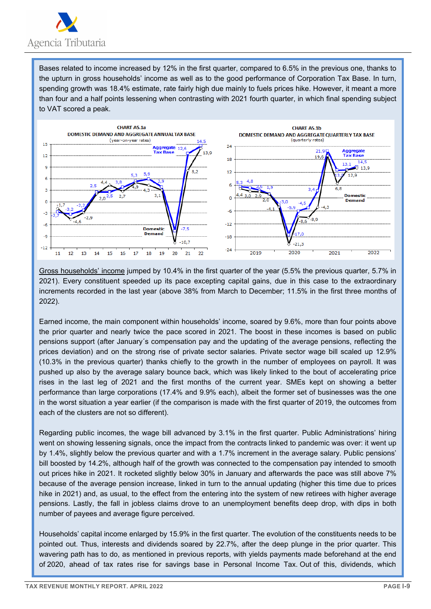

Bases related to income increased by 12% in the first quarter, compared to 6.5% in the previous one, thanks to the upturn in gross households' income as well as to the good performance of Corporation Tax Base. In turn, spending growth was 18.4% estimate, rate fairly high due mainly to fuels prices hike. However, it meant a more than four and a half points lessening when contrasting with 2021 fourth quarter, in which final spending subject to VAT scored a peak.



Gross households' income jumped by 10.4% in the first quarter of the year (5.5% the previous quarter, 5.7% in 2021). Every constituent speeded up its pace excepting capital gains, due in this case to the extraordinary increments recorded in the last year (above 38% from March to December; 11.5% in the first three months of 2022).

Earned income, the main component within households' income, soared by 9.6%, more than four points above the prior quarter and nearly twice the pace scored in 2021. The boost in these incomes is based on public pensions support (after January´s compensation pay and the updating of the average pensions, reflecting the prices deviation) and on the strong rise of private sector salaries. Private sector wage bill scaled up 12.9% (10.3% in the previous quarter) thanks chiefly to the growth in the number of employees on payroll. It was pushed up also by the average salary bounce back, which was likely linked to the bout of accelerating price rises in the last leg of 2021 and the first months of the current year. SMEs kept on showing a better performance than large corporations (17.4% and 9.9% each), albeit the former set of businesses was the one in the worst situation a year earlier (if the comparison is made with the first quarter of 2019, the outcomes from each of the clusters are not so different).

Regarding public incomes, the wage bill advanced by 3.1% in the first quarter. Public Administrations' hiring went on showing lessening signals, once the impact from the contracts linked to pandemic was over: it went up by 1.4%, slightly below the previous quarter and with a 1.7% increment in the average salary. Public pensions' bill boosted by 14.2%, although half of the growth was connected to the compensation pay intended to smooth out prices hike in 2021. It rocketed slightly below 30% in January and afterwards the pace was still above 7% because of the average pension increase, linked in turn to the annual updating (higher this time due to prices hike in 2021) and, as usual, to the effect from the entering into the system of new retirees with higher average pensions. Lastly, the fall in jobless claims drove to an unemployment benefits deep drop, with dips in both number of payees and average figure perceived.

Households' capital income enlarged by 15.9% in the first quarter. The evolution of the constituents needs to be pointed out. Thus, interests and dividends soared by 22.7%, after the deep plunge in the prior quarter. This wavering path has to do, as mentioned in previous reports, with yields payments made beforehand at the end of 2020, ahead of tax rates rise for savings base in Personal Income Tax. Out of this, dividends, which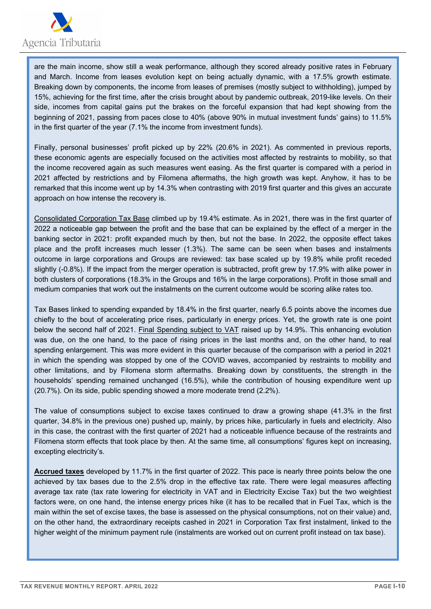

are the main income, show still a weak performance, although they scored already positive rates in February and March. Income from leases evolution kept on being actually dynamic, with a 17.5% growth estimate. Breaking down by components, the income from leases of premises (mostly subject to withholding), jumped by 15%, achieving for the first time, after the crisis brought about by pandemic outbreak, 2019-like levels. On their side, incomes from capital gains put the brakes on the forceful expansion that had kept showing from the beginning of 2021, passing from paces close to 40% (above 90% in mutual investment funds' gains) to 11.5% in the first quarter of the year (7.1% the income from investment funds).

Finally, personal businesses' profit picked up by 22% (20.6% in 2021). As commented in previous reports, these economic agents are especially focused on the activities most affected by restraints to mobility, so that the income recovered again as such measures went easing. As the first quarter is compared with a period in 2021 affected by restrictions and by Filomena aftermaths, the high growth was kept. Anyhow, it has to be remarked that this income went up by 14.3% when contrasting with 2019 first quarter and this gives an accurate approach on how intense the recovery is.

Consolidated Corporation Tax Base climbed up by 19.4% estimate. As in 2021, there was in the first quarter of 2022 a noticeable gap between the profit and the base that can be explained by the effect of a merger in the banking sector in 2021: profit expanded much by then, but not the base. In 2022, the opposite effect takes place and the profit increases much lesser (1.3%). The same can be seen when bases and instalments outcome in large corporations and Groups are reviewed: tax base scaled up by 19.8% while profit receded slightly (-0.8%). If the impact from the merger operation is subtracted, profit grew by 17.9% with alike power in both clusters of corporations (18.3% in the Groups and 16% in the large corporations). Profit in those small and medium companies that work out the instalments on the current outcome would be scoring alike rates too.

Tax Bases linked to spending expanded by 18.4% in the first quarter, nearly 6.5 points above the incomes due chiefly to the bout of accelerating price rises, particularly in energy prices. Yet, the growth rate is one point below the second half of 2021. Final Spending subject to VAT raised up by 14.9%. This enhancing evolution was due, on the one hand, to the pace of rising prices in the last months and, on the other hand, to real spending enlargement. This was more evident in this quarter because of the comparison with a period in 2021 in which the spending was stopped by one of the COVID waves, accompanied by restraints to mobility and other limitations, and by Filomena storm aftermaths. Breaking down by constituents, the strength in the households' spending remained unchanged (16.5%), while the contribution of housing expenditure went up (20.7%). On its side, public spending showed a more moderate trend (2.2%).

The value of consumptions subject to excise taxes continued to draw a growing shape (41.3% in the first quarter, 34.8% in the previous one) pushed up, mainly, by prices hike, particularly in fuels and electricity. Also in this case, the contrast with the first quarter of 2021 had a noticeable influence because of the restraints and Filomena storm effects that took place by then. At the same time, all consumptions' figures kept on increasing, excepting electricity's.

**Accrued taxes** developed by 11.7% in the first quarter of 2022. This pace is nearly three points below the one achieved by tax bases due to the 2.5% drop in the effective tax rate. There were legal measures affecting average tax rate (tax rate lowering for electricity in VAT and in Electricity Excise Tax) but the two weightiest factors were, on one hand, the intense energy prices hike (it has to be recalled that in Fuel Tax, which is the main within the set of excise taxes, the base is assessed on the physical consumptions, not on their value) and, on the other hand, the extraordinary receipts cashed in 2021 in Corporation Tax first instalment, linked to the higher weight of the minimum payment rule (instalments are worked out on current profit instead on tax base).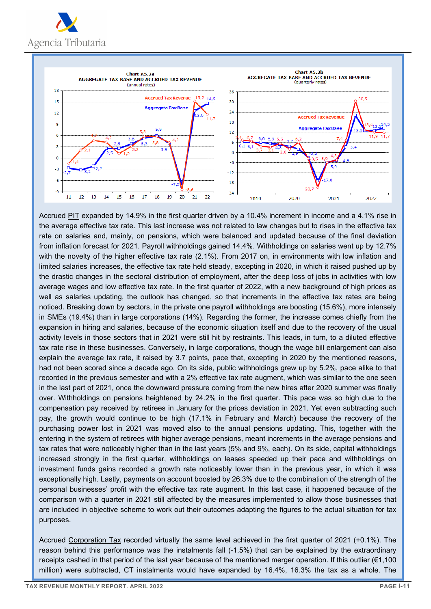



Accrued PIT expanded by 14.9% in the first quarter driven by a 10.4% increment in income and a 4.1% rise in the average effective tax rate. This last increase was not related to law changes but to rises in the effective tax rate on salaries and, mainly, on pensions, which were balanced and updated because of the final deviation from inflation forecast for 2021. Payroll withholdings gained 14.4%. Withholdings on salaries went up by 12.7% with the novelty of the higher effective tax rate (2.1%). From 2017 on, in environments with low inflation and limited salaries increases, the effective tax rate held steady, excepting in 2020, in which it raised pushed up by the drastic changes in the sectoral distribution of employment, after the deep loss of jobs in activities with low average wages and low effective tax rate. In the first quarter of 2022, with a new background of high prices as well as salaries updating, the outlook has changed, so that increments in the effective tax rates are being noticed. Breaking down by sectors, in the private one payroll withholdings are boosting (15.6%), more intensely in SMEs (19.4%) than in large corporations (14%). Regarding the former, the increase comes chiefly from the expansion in hiring and salaries, because of the economic situation itself and due to the recovery of the usual activity levels in those sectors that in 2021 were still hit by restraints. This leads, in turn, to a diluted effective tax rate rise in these businesses. Conversely, in large corporations, though the wage bill enlargement can also explain the average tax rate, it raised by 3.7 points, pace that, excepting in 2020 by the mentioned reasons, had not been scored since a decade ago. On its side, public withholdings grew up by 5.2%, pace alike to that recorded in the previous semester and with a 2% effective tax rate augment, which was similar to the one seen in the last part of 2021, once the downward pressure coming from the new hires after 2020 summer was finally over. Withholdings on pensions heightened by 24.2% in the first quarter. This pace was so high due to the compensation pay received by retirees in January for the prices deviation in 2021. Yet even subtracting such pay, the growth would continue to be high (17.1% in February and March) because the recovery of the purchasing power lost in 2021 was moved also to the annual pensions updating. This, together with the entering in the system of retirees with higher average pensions, meant increments in the average pensions and tax rates that were noticeably higher than in the last years (5% and 9%, each). On its side, capital withholdings increased strongly in the first quarter, withholdings on leases speeded up their pace and withholdings on investment funds gains recorded a growth rate noticeably lower than in the previous year, in which it was exceptionally high. Lastly, payments on account boosted by 26.3% due to the combination of the strength of the personal businesses' profit with the effective tax rate augment. In this last case, it happened because of the comparison with a quarter in 2021 still affected by the measures implemented to allow those businesses that are included in objective scheme to work out their outcomes adapting the figures to the actual situation for tax purposes.

Accrued Corporation Tax recorded virtually the same level achieved in the first quarter of 2021 (+0.1%). The reason behind this performance was the instalments fall (-1.5%) that can be explained by the extraordinary receipts cashed in that period of the last year because of the mentioned merger operation. If this outlier (€1,100 million) were subtracted, CT instalments would have expanded by 16.4%, 16.3% the tax as a whole. The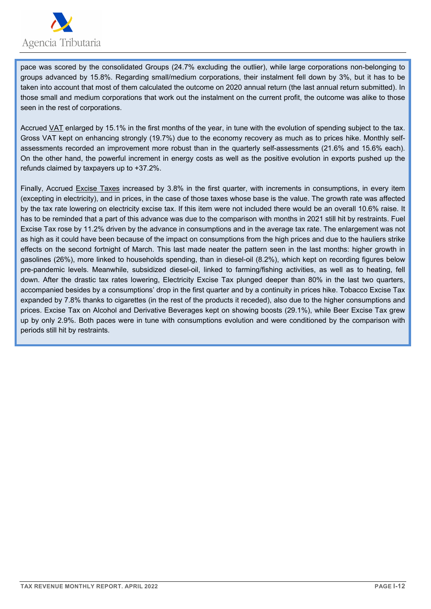

pace was scored by the consolidated Groups (24.7% excluding the outlier), while large corporations non-belonging to groups advanced by 15.8%. Regarding small/medium corporations, their instalment fell down by 3%, but it has to be taken into account that most of them calculated the outcome on 2020 annual return (the last annual return submitted). In those small and medium corporations that work out the instalment on the current profit, the outcome was alike to those seen in the rest of corporations.

Accrued VAT enlarged by 15.1% in the first months of the year, in tune with the evolution of spending subject to the tax. Gross VAT kept on enhancing strongly (19.7%) due to the economy recovery as much as to prices hike. Monthly selfassessments recorded an improvement more robust than in the quarterly self-assessments (21.6% and 15.6% each). On the other hand, the powerful increment in energy costs as well as the positive evolution in exports pushed up the refunds claimed by taxpayers up to +37.2%.

Finally, Accrued Excise Taxes increased by 3.8% in the first quarter, with increments in consumptions, in every item (excepting in electricity), and in prices, in the case of those taxes whose base is the value. The growth rate was affected by the tax rate lowering on electricity excise tax. If this item were not included there would be an overall 10.6% raise. It has to be reminded that a part of this advance was due to the comparison with months in 2021 still hit by restraints. Fuel Excise Tax rose by 11.2% driven by the advance in consumptions and in the average tax rate. The enlargement was not as high as it could have been because of the impact on consumptions from the high prices and due to the hauliers strike effects on the second fortnight of March. This last made neater the pattern seen in the last months: higher growth in gasolines (26%), more linked to households spending, than in diesel-oil (8.2%), which kept on recording figures below pre-pandemic levels. Meanwhile, subsidized diesel-oil, linked to farming/fishing activities, as well as to heating, fell down. After the drastic tax rates lowering, Electricity Excise Tax plunged deeper than 80% in the last two quarters, accompanied besides by a consumptions' drop in the first quarter and by a continuity in prices hike. Tobacco Excise Tax expanded by 7.8% thanks to cigarettes (in the rest of the products it receded), also due to the higher consumptions and prices. Excise Tax on Alcohol and Derivative Beverages kept on showing boosts (29.1%), while Beer Excise Tax grew up by only 2.9%. Both paces were in tune with consumptions evolution and were conditioned by the comparison with periods still hit by restraints.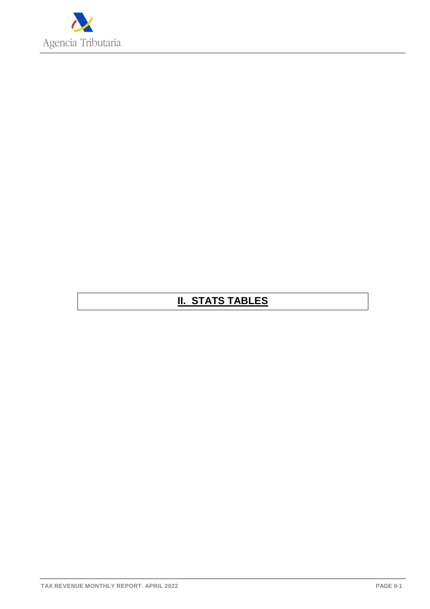

## **II. STATS TABLES**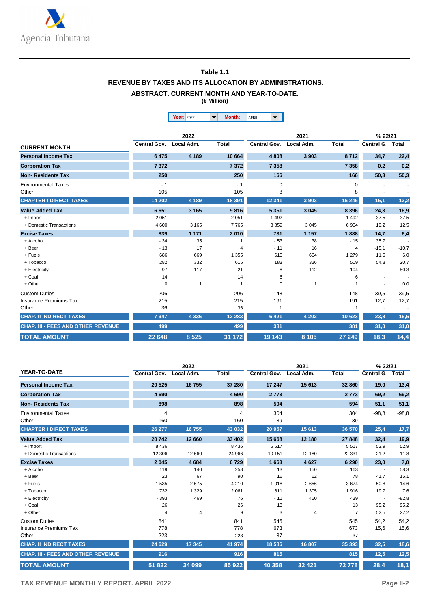

#### **Table 1.1 REVENUE BY TAXES AND ITS ALLOCATION BY ADMINISTRATIONS. ABSTRACT. CURRENT MONTH AND YEAR-TO-DATE.**

**(€ Million)**

|                                    |              |              | Month:<br>$\overline{\mathbf{v}}$ | ▼                   |              |              |                          |         |
|------------------------------------|--------------|--------------|-----------------------------------|---------------------|--------------|--------------|--------------------------|---------|
|                                    |              | Year: 2022   |                                   | <b>APRIL</b>        |              |              |                          |         |
|                                    |              | 2022         |                                   |                     | 2021         |              | % 22/21                  |         |
| <b>CURRENT MONTH</b>               | Central Gov. | Local Adm.   | <b>Total</b>                      | <b>Central Gov.</b> | Local Adm.   | <b>Total</b> | Central G.               | Total   |
| <b>Personal Income Tax</b>         | 6 4 7 5      | 4 189        | 10 664                            | 4808                | 3 9 0 3      | 8712         | 34,7                     | 22,4    |
| <b>Corporation Tax</b>             | 7372         |              | 7 3 7 2                           | 7 3 5 8             |              | 7 3 5 8      | 0,2                      | 0,2     |
| <b>Non-Residents Tax</b>           | 250          |              | 250                               | 166                 |              | 166          | 50,3                     | 50,3    |
| <b>Environmental Taxes</b>         | $-1$         |              | $-1$                              | $\mathbf 0$         |              | $\mathbf 0$  |                          |         |
| Other                              | 105          |              | 105                               | 8                   |              | 8            |                          |         |
| <b>CHAPTER I DIRECT TAXES</b>      | 14 202       | 4 1 8 9      | 18 391                            | 12 3 4 1            | 3 9 0 3      | 16 245       | 15,1                     | 13,2    |
| <b>Value Added Tax</b>             | 6651         | 3 1 6 5      | 9816                              | 5 3 5 1             | 3 0 4 5      | 8 3 9 6      | 24,3                     | 16,9    |
| + Import                           | 2 0 5 1      |              | 2 0 5 1                           | 1 4 9 2             |              | 1492         | 37,5                     | 37,5    |
| + Domestic Transactions            | 4 600        | 3 1 6 5      | 7765                              | 3859                | 3 0 4 5      | 6904         | 19,2                     | 12,5    |
| <b>Excise Taxes</b>                | 839          | 1 1 7 1      | 2010                              | 731                 | 1 1 5 7      | 1888         | 14,7                     | 6,4     |
| + Alcohol                          | $-34$        | 35           | 1                                 | $-53$               | 38           | $-15$        | 35,7                     |         |
| + Beer                             | $-13$        | 17           | 4                                 | $-11$               | 16           | 4            | $-15,1$                  | $-10,7$ |
| + Fuels                            | 686          | 669          | 1 3 5 5                           | 615                 | 664          | 1 2 7 9      | 11,6                     | 6,0     |
| + Tobacco                          | 282          | 332          | 615                               | 183                 | 326          | 509          | 54,3                     | 20,7    |
| + Electricity                      | $-97$        | 117          | 21                                | $-8$                | 112          | 104          |                          | $-80,3$ |
| + Coal                             | 14           |              | 14                                | 6                   |              | 6            | ٠                        |         |
| + Other                            | $\mathbf 0$  | $\mathbf{1}$ | -1                                | 0                   | $\mathbf{1}$ |              |                          | 0,0     |
| <b>Custom Duties</b>               | 206          |              | 206                               | 148                 |              | 148          | 39,5                     | 39,5    |
| <b>Insurance Premiums Tax</b>      | 215          |              | 215                               | 191                 |              | 191          | 12,7                     | 12,7    |
| Other                              | 36           |              | 36                                |                     |              | 1            | $\overline{\phantom{a}}$ |         |
| <b>CHAP. II INDIRECT TAXES</b>     | 7947         | 4 3 3 6      | 12 2 8 3                          | 6 4 21              | 4 2 0 2      | 10 623       | 23,8                     | 15,6    |
| CHAP. III - FEES AND OTHER REVENUE | 499          |              | 499                               | 381                 |              | 381          | 31,0                     | 31,0    |
| <b>TOTAL AMOUNT</b>                | 22 648       | 8 5 2 5      | 31 172                            | 19 143              | 8 1 0 5      | 27 249       | 18,3                     | 14,4    |

|                                           |                     | 2022       |              |              |                | % 22/21        |                          |         |
|-------------------------------------------|---------------------|------------|--------------|--------------|----------------|----------------|--------------------------|---------|
| <b>YEAR-TO-DATE</b>                       | <b>Central Gov.</b> | Local Adm. | <b>Total</b> | Central Gov. | Local Adm.     | <b>Total</b>   | <b>Central G</b>         | Total   |
| <b>Personal Income Tax</b>                | 20 5 25             | 16 755     | 37 280       | 17 247       | 15 613         | 32 860         | 19,0                     | 13,4    |
| <b>Corporation Tax</b>                    | 4690                |            | 4690         | 2 7 7 3      |                | 2 7 7 3        | 69,2                     | 69,2    |
| <b>Non-Residents Tax</b>                  | 898                 |            | 898          | 594          |                | 594            | 51,1                     | 51,1    |
| <b>Environmental Taxes</b>                | $\overline{4}$      |            | 4            | 304          |                | 304            | $-98,8$                  | $-98,8$ |
| Other                                     | 160                 |            | 160          | 39           |                | 39             |                          |         |
| <b>CHAPTER I DIRECT TAXES</b>             | 26 277              | 16755      | 43 032       | 20 957       | 15 613         | 36 570         | 25,4                     | 17,7    |
| <b>Value Added Tax</b>                    | 20742               | 12 660     | 33 402       | 15 668       | 12 180         | 27 848         | 32,4                     | 19,9    |
| + Import                                  | 8436                |            | 8 4 3 6      | 5517         |                | 5517           | 52,9                     | 52,9    |
| + Domestic Transactions                   | 12 30 6             | 12 660     | 24 966       | 10 151       | 12 180         | 22 331         | 21,2                     | 11,8    |
| <b>Excise Taxes</b>                       | 2 0 4 5             | 4 6 8 4    | 6729         | 1663         | 4627           | 6 2 9 0        | 23.0                     | 7,0     |
| + Alcohol                                 | 119                 | 140        | 258          | 13           | 150            | 163            | $\sim$                   | 58,3    |
| + Beer                                    | 23                  | 67         | 90           | 16           | 62             | 78             | 41,7                     | 15,1    |
| + Fuels                                   | 1535                | 2675       | 4 2 1 0      | 1 0 1 8      | 2656           | 3674           | 50,8                     | 14,6    |
| + Tobacco                                 | 732                 | 1 3 2 9    | 2 0 6 1      | 611          | 1 3 0 5        | 1916           | 19,7                     | 7,6     |
| + Electricity                             | $-393$              | 469        | 76           | $-11$        | 450            | 439            | $\sim$                   | $-82,8$ |
| + Coal                                    | 26                  |            | 26           | 13           |                | 13             | 95,2                     | 95,2    |
| + Other                                   | 4                   | 4          | 9            | 3            | $\overline{4}$ | $\overline{7}$ | 52,5                     | 27,2    |
| <b>Custom Duties</b>                      | 841                 |            | 841          | 545          |                | 545            | 54.2                     | 54,2    |
| <b>Insurance Premiums Tax</b>             | 778                 |            | 778          | 673          |                | 673            | 15,6                     | 15,6    |
| Other                                     | 223                 |            | 223          | 37           |                | 37             | $\overline{\phantom{a}}$ |         |
| <b>CHAP. II INDIRECT TAXES</b>            | 24 6 29             | 17 345     | 41 974       | 18 5 86      | 16 807         | 35 393         | 32,5                     | 18,6    |
| <b>CHAP. III - FEES AND OTHER REVENUE</b> | 916                 |            | 916          | 815          |                | 815            | 12,5                     | 12,5    |
| <b>TOTAL AMOUNT</b>                       | 51 822              | 34 099     | 85 922       | 40 358       | 32 4 21        | 72778          | 28,4                     | 18,1    |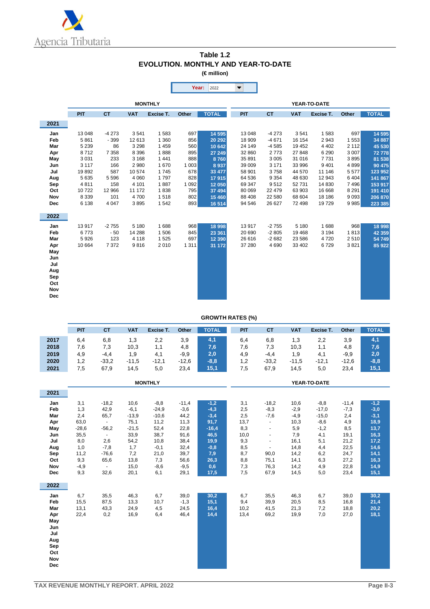

| Table 1.2                           |
|-------------------------------------|
| EVOLUTION. MONTHLY AND YEAR-TO-DATE |
| $(\in$ million)                     |

|            |         |           |            |                |              | Year:<br>2022 | $\blacktriangledown$ |           |            |              |         |              |
|------------|---------|-----------|------------|----------------|--------------|---------------|----------------------|-----------|------------|--------------|---------|--------------|
|            |         |           |            | <b>MONTHLY</b> |              |               |                      |           |            | YEAR-TO-DATE |         |              |
|            | PIT     | <b>CT</b> | <b>VAT</b> | Excise T.      | <b>Other</b> | <b>TOTAL</b>  | PIT                  | <b>CT</b> | <b>VAT</b> | Excise T.    | Other   | <b>TOTAL</b> |
| 2021       |         |           |            |                |              |               |                      |           |            |              |         |              |
| Jan        | 13 048  | $-4273$   | 3541       | 1583           | 697          | 14 5 95       | 13 048               | $-4273$   | 3541       | 1583         | 697     | 14 595       |
| Feb        | 5861    | $-399$    | 12 613     | 1 3 6 0        | 856          | 20 29 2       | 18 909               | $-4671$   | 16 154     | 2943         | 1 5 5 3 | 34 887       |
| Mar        | 5 2 3 9 | 86        | 3 2 9 8    | 1 4 5 9        | 560          | 10 642        | 24 149               | $-4585$   | 19 452     | 4 4 0 2      | 2 1 1 2 | 45 530       |
| Apr        | 8712    | 7 3 5 8   | 8 3 9 6    | 1888           | 895          | 27 249        | 32 860               | 2773      | 27 848     | 6 2 9 0      | 3 0 0 7 | 72778        |
| May        | 3 0 3 1 | 233       | 3 1 6 8    | 1 4 4 1        | 888          | 8760          | 35 891               | 3 0 0 5   | 31 016     | 7731         | 3895    | 81 538       |
| Jun        | 3 1 1 7 | 166       | 2 9 8 0    | 1670           | 1003         | 8937          | 39 009               | 3 1 7 1   | 33 996     | 9 4 0 1      | 4899    | 90 475       |
| Jul        | 19892   | 587       | 10 574     | 1745           | 678          | 33 477        | 58 901               | 3758      | 44 570     | 11 146       | 5577    | 123 952      |
| Aug        | 5 6 3 5 | 5 5 9 6   | 4 0 6 0    | 1797           | 828          | 17915         | 64 536               | 9 3 5 4   | 48 630     | 12 943       | 6404    | 141 867      |
| Sep        | 4811    | 158       | 4 1 0 1    | 1887           | 1 0 9 2      | 12 050        | 69 347               | 9512      | 52 731     | 14 8 30      | 7496    | 153 917      |
| Oct        | 10722   | 12 966    | 11 172     | 1838           | 795          | 37 494        | 80 069               | 22 4 79   | 63 903     | 16 668       | 8 2 9 1 | 191 410      |
| Nov        | 8 3 3 9 | 101       | 4700       | 1518           | 802          | 15 460        | 88 408               | 22 580    | 68 604     | 18 18 6      | 9 0 9 3 | 206 870      |
| Dec        | 6 1 3 8 | 4 0 4 7   | 3895       | 1542           | 893          | 16 514        | 94 546               | 26 627    | 72 498     | 19729        | 9 9 8 5 | 223 385      |
| 2022       |         |           |            |                |              |               |                      |           |            |              |         |              |
| Jan        | 13917   | $-2755$   | 5 1 8 0    | 1688           | 968          | 18 998        | 13917                | $-2755$   | 5 1 8 0    | 1688         | 968     | 18 998       |
| Feb        | 6773    | $-50$     | 14 288     | 1506           | 845          | 23 361        | 20 690               | $-2805$   | 19 4 68    | 3 1 9 4      | 1813    | 42 3 59      |
| Mar        | 5926    | 123       | 4 1 1 8    | 1 5 2 5        | 697          | 12 3 9 0      | 26 616               | $-2682$   | 23 586     | 4720         | 2510    | 54 749       |
| Apr        | 10 664  | 7372      | 9816       | 2010           | 1 3 1 1      | 31 172        | 37 280               | 4 6 9 0   | 33 402     | 6729         | 3821    | 85 922       |
| May        |         |           |            |                |              |               |                      |           |            |              |         |              |
| Jun        |         |           |            |                |              |               |                      |           |            |              |         |              |
| Jul        |         |           |            |                |              |               |                      |           |            |              |         |              |
| Aug        |         |           |            |                |              |               |                      |           |            |              |         |              |
| Sep        |         |           |            |                |              |               |                      |           |            |              |         |              |
| Oct        |         |           |            |                |              |               |                      |           |            |              |         |              |
| Nov        |         |           |            |                |              |               |                      |           |            |              |         |              |
| <b>Dec</b> |         |           |            |                |              |               |                      |           |            |              |         |              |

#### **GROWTH RATES (%)**

|            | PIT         | <b>CT</b>       | <b>VAT</b>  | Excise T.      | Other        | <b>TOTAL</b> | PIT        | <b>CT</b>      | <b>VAT</b>   | Excise T.    | <b>Other</b> | <b>TOTAL</b> |
|------------|-------------|-----------------|-------------|----------------|--------------|--------------|------------|----------------|--------------|--------------|--------------|--------------|
| 2017       | 6,4         | 6,8             | 1,3         | 2,2            | 3,9          | 4,1          | 6,4        | 6,8            | 1,3          | 2,2          | 3,9          | 4,1          |
| 2018       | 7,6         | 7,3             | 10,3        | 1,1            | 4,8          | 7,6          | 7,6        | 7,3            | 10,3         | 1,1          | 4,8          | 7,6          |
| 2019       | 4,9         | $-4,4$          | 1,9         | 4,1            | $-9,9$       | 2,0          | 4,9        | $-4,4$         | 1,9          | 4,1          | $-9,9$       | 2,0          |
| 2020       | 1,2         | $-33,2$         | $-11,5$     | $-12,1$        | $-12,6$      | $-8,8$       | 1,2        | $-33,2$        | $-11,5$      | $-12,1$      | $-12,6$      | $-8,8$       |
| 2021       | 7,5         | 67,9            | 14,5        | 5,0            | 23,4         | 15,1         | 7,5        | 67,9           | 14,5         | 5,0          | 23,4         | 15,1         |
|            |             |                 |             |                |              |              |            |                |              |              |              |              |
|            |             |                 |             | <b>MONTHLY</b> |              |              |            |                |              | YEAR-TO-DATE |              |              |
| 2021       |             |                 |             |                |              |              |            |                |              |              |              |              |
| Jan        | 3,1         | $-18,2$         | 10,6        | $-8,8$         | $-11,4$      | $-1,2$       | 3,1        | $-18,2$        | 10,6         | $-8,8$       | $-11,4$      | $-1,2$       |
| Feb        | 1,3         | 42,9            | $-6,1$      | $-24,9$        | $-3,6$       | $-4,3$       | 2,5        | $-8,3$         | $-2,9$       | $-17,0$      | $-7,3$       | $-3,0$       |
| Mar        | 2,4         | 65,7            | $-13,9$     | $-10,6$        | 44,2         | $-3,4$       | 2,5        | $-7,6$         | $-4,9$       | $-15,0$      | 2,4          | $-3,1$       |
| Apr        | 63,0        | $\sim$          | 75,1        | 11,2           | 11,3         | 91,7         | 13,7       | $\blacksquare$ | 10,3         | $-8,6$       | 4,9          | 18,9         |
| May        | $-28,6$     | $-56,2$         | $-21,5$     | 52,4           | 22,8         | $-16,4$      | 8,3        | $\blacksquare$ | 5,9          | $-1,2$       | 8,5          | 13,7         |
| Jun        | 35,5        | $\sim$          | 33,9        | 38,7           | 91,6         | 46,5         | 10,0       | $\blacksquare$ | 7,9          | 4,1          | 19,1         | 16,3         |
| Jul        | 8,0         | 2,6             | 54,2        | 10,8           | 38,4         | 19,9         | 9,3        | $\blacksquare$ | 16,1         | 5,1          | 21,2         | 17,2         |
| Aug        | 1,0         | $-7,8$          | 1,7         | $-0,1$         | 32,4         | $-0,8$       | 8,5        | $\blacksquare$ | 14,8         | 4,4          | 22,5         | 14,6         |
| Sep<br>Oct | 11,2<br>9,3 | $-76,6$<br>65,6 | 7,2<br>13,8 | 21,0<br>7,3    | 39,7<br>56,6 | 7,9<br>26,3  | 8,7<br>8,8 | 90,0<br>75,1   | 14,2<br>14,1 | 6,2<br>6,3   | 24,7<br>27,2 | 14,1<br>16,3 |
| Nov        | $-4,9$      | $\mathcal{L}$   | 15,0        | $-8,6$         | $-9,5$       | 0,6          | 7,3        | 76,3           | 14,2         | 4,9          | 22,8         | 14,9         |
| <b>Dec</b> | 9,3         | 32,6            | 20,1        | 6,1            | 29,1         | 17,5         | 7,5        | 67,9           | 14,5         | 5,0          | 23,4         | 15,1         |
|            |             |                 |             |                |              |              |            |                |              |              |              |              |
| 2022       |             |                 |             |                |              |              |            |                |              |              |              |              |
| Jan        | 6,7         | 35,5            | 46,3        | 6,7            | 39,0         | 30,2         | 6,7        | 35,5           | 46,3         | 6,7          | 39,0         | 30,2         |
| Feb        | 15,5        | 87,5            | 13,3        | 10,7           | $-1,3$       | 15,1         | 9,4        | 39,9           | 20,5         | 8,5          | 16,8         | 21,4         |
| Mar        | 13,1        | 43,3            | 24,9        | 4,5            | 24,5         | 16,4         | 10,2       | 41,5           | 21,3         | 7,2          | 18,8         | 20,2         |
| Apr        | 22,4        | 0,2             | 16,9        | 6,4            | 46,4         | 14,4         | 13,4       | 69,2           | 19,9         | 7,0          | 27,0         | 18,1         |
| May        |             |                 |             |                |              |              |            |                |              |              |              |              |
| Jun        |             |                 |             |                |              |              |            |                |              |              |              |              |
| Jul        |             |                 |             |                |              |              |            |                |              |              |              |              |
| Aug<br>Sep |             |                 |             |                |              |              |            |                |              |              |              |              |
| Oct        |             |                 |             |                |              |              |            |                |              |              |              |              |
| Nov        |             |                 |             |                |              |              |            |                |              |              |              |              |
| <b>Dec</b> |             |                 |             |                |              |              |            |                |              |              |              |              |
|            |             |                 |             |                |              |              |            |                |              |              |              |              |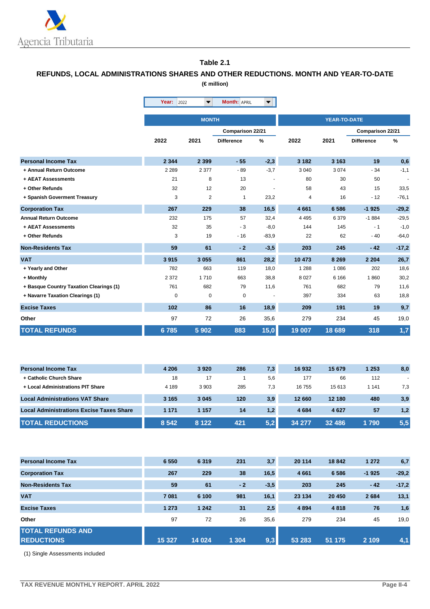

#### **Table 2.1**

#### **REFUNDS, LOCAL ADMINISTRATIONS SHARES AND OTHER REDUCTIONS. MONTH AND YEAR-TO-DATE (€ million)**

|                                         | <b>Year: 2022</b> | $\blacktriangledown$ | <b>Month: APRIL</b> | $\blacktriangledown$ |         |                     |                   |         |
|-----------------------------------------|-------------------|----------------------|---------------------|----------------------|---------|---------------------|-------------------|---------|
|                                         |                   | <b>MONTH</b>         |                     |                      |         | <b>YEAR-TO-DATE</b> |                   |         |
|                                         |                   |                      | Comparison 22/21    |                      |         |                     | Comparison 22/21  |         |
|                                         | 2022              | 2021                 | <b>Difference</b>   | %                    | 2022    | 2021                | <b>Difference</b> | %       |
| <b>Personal Income Tax</b>              | 2 3 4 4           | 2 3 9 9              | $-55$               | $-2,3$               | 3 1 8 2 | 3 1 6 3             | 19                | 0,6     |
| + Annual Return Outcome                 | 2 2 8 9           | 2 3 7 7              | $-89$               | $-3,7$               | 3 0 4 0 | 3074                | $-34$             | $-1,1$  |
| + AEAT Assessments                      | 21                | 8                    | 13                  |                      | 80      | 30                  | 50                | $\sim$  |
| + Other Refunds                         | 32                | 12                   | 20                  |                      | 58      | 43                  | 15                | 33,5    |
| + Spanish Goverment Treasury            | 3                 | $\overline{2}$       | $\mathbf{1}$        | 23,2                 | 4       | 16                  | $-12$             | $-76,1$ |
| <b>Corporation Tax</b>                  | 267               | 229                  | 38                  | 16,5                 | 4 6 6 1 | 6586                | $-1925$           | $-29,2$ |
| <b>Annual Return Outcome</b>            | 232               | 175                  | 57                  | 32,4                 | 4 4 9 5 | 6379                | $-1884$           | $-29.5$ |
| + AEAT Assessments                      | 32                | 35                   | $-3$                | $-8,0$               | 144     | 145                 | $-1$              | $-1,0$  |
| + Other Refunds                         | 3                 | 19                   | $-16$               | $-83,9$              | 22      | 62                  | $-40$             | $-64,0$ |
| <b>Non-Residents Tax</b>                | 59                | 61                   | $-2$                | $-3,5$               | 203     | 245                 | $-42$             | $-17,2$ |
| <b>VAT</b>                              | 3915              | 3 0 5 5              | 861                 | 28,2                 | 10 473  | 8 2 6 9             | 2 2 0 4           | 26,7    |
| + Yearly and Other                      | 782               | 663                  | 119                 | 18,0                 | 1 2 8 8 | 1 0 8 6             | 202               | 18,6    |
| + Monthly                               | 2 3 7 2           | 1710                 | 663                 | 38,8                 | 8 0 27  | 6 1 6 6             | 1860              | 30,2    |
| + Basque Country Taxation Clearings (1) | 761               | 682                  | 79                  | 11,6                 | 761     | 682                 | 79                | 11,6    |
| + Navarre Taxation Clearings (1)        | 0                 | 0                    | 0                   |                      | 397     | 334                 | 63                | 18,8    |
| <b>Excise Taxes</b>                     | 102               | 86                   | 16                  | 18,9                 | 209     | 191                 | 19                | 9,7     |
| Other                                   | 97                | 72                   | 26                  | 35,6                 | 279     | 234                 | 45                | 19,0    |
| <b>TOTAL REFUNDS</b>                    | 6785              | 5902                 | 883                 | 15,0                 | 19 007  | 18 689              | 318               | 1,7     |

| <b>Personal Income Tax</b>                      | 4 2 0 6 | 3920    | 286 | 7,3 | 16 932  | 15 679  | 1 253 | 8,0 |
|-------------------------------------------------|---------|---------|-----|-----|---------|---------|-------|-----|
| + Catholic Church Share                         | 18      | 17      |     | 5,6 | 177     | 66      | 112   |     |
| + Local Administrations PIT Share               | 4 1 8 9 | 3 9 0 3 | 285 | 7,3 | 16755   | 15 613  | 1 141 | 7,3 |
| <b>Local Administrations VAT Share</b>          | 3 1 6 5 | 3 0 4 5 | 120 | 3,9 | 12 660  | 12 180  | 480   | 3,9 |
| <b>Local Administrations Excise Taxes Share</b> | 1 1 7 1 | 1 1 5 7 | 14  | 1,2 | 4 6 8 4 | 4 6 2 7 | 57    | 1,2 |
| <b>TOTAL REDUCTIONS</b>                         | 8 5 4 2 | 8 1 2 2 | 421 | 5.2 | 34 277  | 32 486  | 1790  | 5,5 |

| <b>Personal Income Tax</b>                    | 6 5 5 0 | 6 3 1 9 | 231     | 3,7    | 20 114  | 18842   | 1 2 7 2 | 6,7     |
|-----------------------------------------------|---------|---------|---------|--------|---------|---------|---------|---------|
| <b>Corporation Tax</b>                        | 267     | 229     | 38      | 16,5   | 4 6 6 1 | 6 5 8 6 | $-1925$ | $-29,2$ |
| <b>Non-Residents Tax</b>                      | 59      | 61      | $-2$    | $-3,5$ | 203     | 245     | $-42$   | $-17,2$ |
| <b>VAT</b>                                    | 7 0 8 1 | 6 100   | 981     | 16,1   | 23 134  | 20 450  | 2 6 8 4 | 13,1    |
| <b>Excise Taxes</b>                           | 1 2 7 3 | 1 2 4 2 | 31      | 2,5    | 4 8 9 4 | 4818    | 76      | 1,6     |
| Other                                         | 97      | 72      | 26      | 35,6   | 279     | 234     | 45      | 19,0    |
| <b>TOTAL REFUNDS AND</b><br><b>REDUCTIONS</b> | 15 3 27 | 14 0 24 | 1 3 0 4 | 9,3    | 53 283  | 51 175  | 2 1 0 9 | 4,1     |

(1) Single Assessments included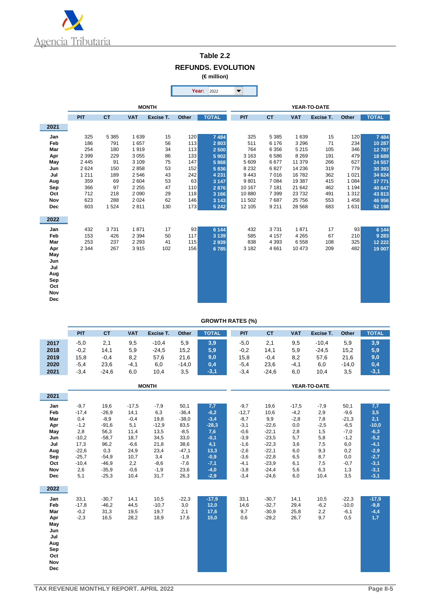

## **Table 2.2 REFUNDS. EVOLUTION**

**(€ million)**

|            |         |           |            |              |       | Year:<br>2022 | ▼            |           |            |           |         |              |  |  |
|------------|---------|-----------|------------|--------------|-------|---------------|--------------|-----------|------------|-----------|---------|--------------|--|--|
|            |         |           |            | <b>MONTH</b> |       |               | YEAR-TO-DATE |           |            |           |         |              |  |  |
|            | PIT     | <b>CT</b> | <b>VAT</b> | Excise T.    | Other | <b>TOTAL</b>  | PIT          | <b>CT</b> | <b>VAT</b> | Excise T. | Other   | <b>TOTAL</b> |  |  |
| 2021       |         |           |            |              |       |               |              |           |            |           |         |              |  |  |
| Jan        | 325     | 5 3 8 5   | 1 6 3 9    | 15           | 120   | 7 4 8 4       | 325          | 5 3 8 5   | 1 6 3 9    | 15        | 120     | 7 4 8 4      |  |  |
| Feb        | 186     | 791       | 1657       | 56           | 113   | 2803          | 511          | 6 1 7 6   | 3 2 9 6    | 71        | 234     | 10 287       |  |  |
| Mar        | 254     | 180       | 1919       | 34           | 113   | 2 500         | 764          | 6 3 5 6   | 5 2 1 5    | 105       | 346     | 12787        |  |  |
| Apr        | 2 3 9 9 | 229       | 3 0 5 5    | 86           | 133   | 5 9 0 2       | 3 1 6 3      | 6586      | 8 2 6 9    | 191       | 479     | 18 689       |  |  |
| May        | 2 4 4 5 | 91        | 3 1 0 9    | 75           | 147   | 5868          | 5 6 0 9      | 6677      | 11 379     | 266       | 627     | 24 557       |  |  |
| Jun        | 2624    | 150       | 2858       | 53           | 152   | 5836          | 8 2 3 2      | 6827      | 14 236     | 319       | 779     | 30 393       |  |  |
| Jul        | 1 2 1 1 | 189       | 2546       | 43           | 242   | 4 2 3 1       | 9 4 4 3      | 7016      | 16782      | 362       | 1 0 2 1 | 34 624       |  |  |
| Aug        | 359     | 69        | 2 604      | 53           | 63    | 3 1 4 7       | 9801         | 7 0 8 4   | 19 387     | 415       | 1084    | 37 771       |  |  |
| Sep        | 366     | 97        | 2 2 5 5    | 47           | 110   | 2876          | 10 167       | 7 1 8 1   | 21 642     | 462       | 1 1 9 4 | 40 647       |  |  |
| Oct        | 712     | 218       | 2 0 9 0    | 29           | 118   | 3 1 6 6       | 10880        | 7 3 9 9   | 23 7 32    | 491       | 1 3 1 2 | 43 813       |  |  |
| <b>Nov</b> | 623     | 288       | 2 0 2 4    | 62           | 146   | 3 1 4 3       | 11 502       | 7687      | 25 7 56    | 553       | 1458    | 46 956       |  |  |
| <b>Dec</b> | 603     | 1 5 2 4   | 2811       | 130          | 173   | 5 2 4 2       | 12 105       | 9 2 1 1   | 28 5 68    | 683       | 1631    | 52 198       |  |  |
| 2022       |         |           |            |              |       |               |              |           |            |           |         |              |  |  |
| Jan        | 432     | 3731      | 1871       | 17           | 93    | 6 1 4 4       | 432          | 3731      | 1871       | 17        | 93      | 6 1 4 4      |  |  |
| Feb        | 153     | 426       | 2 3 9 4    | 50           | 117   | 3 1 3 9       | 585          | 4 1 5 7   | 4 2 6 5    | 67        | 210     | 9 2 8 3      |  |  |
| Mar        | 253     | 237       | 2 2 9 3    | 41           | 115   | 2939          | 838          | 4 3 9 3   | 6558       | 108       | 325     | 12 2 2 2     |  |  |
| Apr        | 2 3 4 4 | 267       | 3915       | 102          | 156   | 6785          | 3 1 8 2      | 4661      | 10 473     | 209       | 482     | 19 007       |  |  |
| May        |         |           |            |              |       |               |              |           |            |           |         |              |  |  |
| Jun        |         |           |            |              |       |               |              |           |            |           |         |              |  |  |
| Jul        |         |           |            |              |       |               |              |           |            |           |         |              |  |  |
| Aug        |         |           |            |              |       |               |              |           |            |           |         |              |  |  |
| Sep        |         |           |            |              |       |               |              |           |            |           |         |              |  |  |
| Oct        |         |           |            |              |       |               |              |           |            |           |         |              |  |  |
| Nov        |         |           |            |              |       |               |              |           |            |           |         |              |  |  |
| <b>Dec</b> |         |           |            |              |       |               |              |           |            |           |         |              |  |  |

#### **GROWTH RATES (%)**

|      | PIT    | СT      | <b>VAT</b> | Excise T. | Other   | <b>TOTAL</b> | PIT    | СT      | VAT    | Excise T. | Other   | <b>TOTAL</b> |
|------|--------|---------|------------|-----------|---------|--------------|--------|---------|--------|-----------|---------|--------------|
| 2017 | $-5,0$ | 2,1     | 9,5        | $-10,4$   | 5,9     | 3,9          | $-5,0$ | 2,1     | 9,5    | $-10.4$   | 5,9     | 3,9          |
| 2018 | $-0,2$ | 14,1    | 5,9        | $-24,5$   | 15,2    | 5,9          | $-0,2$ | 14,1    | 5,9    | $-24.5$   | 15,2    | 5,9          |
| 2019 | 15,8   | $-0,4$  | 8,2        | 57,6      | 21,6    | 9,0          | 15,8   | $-0,4$  | 8,2    | 57.6      | 21,6    | 9,0          |
| 2020 | $-5,4$ | 23,6    | $-4,1$     | 6,0       | $-14,0$ | 0,4          | $-5,4$ | 23,6    | $-4,1$ | 6,0       | $-14.0$ | 0,4          |
| 2021 | $-3,4$ | $-24,6$ | 6,0        | 10,4      | 3,5     | $-3,1$       | $-3,4$ | $-24,6$ | 6,0    | 10,4      | 3,5     | $-3,1$       |

|            |         |         |         | <b>MONTH</b> |         |         | YEAR-TO-DATE |         |         |        |         |         |  |
|------------|---------|---------|---------|--------------|---------|---------|--------------|---------|---------|--------|---------|---------|--|
| 2021       |         |         |         |              |         |         |              |         |         |        |         |         |  |
| Jan        | $-9,7$  | 19,6    | $-17,5$ | $-7,9$       | 50,1    | 7,7     | $-9,7$       | 19,6    | $-17,5$ | $-7,9$ | 50,1    | 7,7     |  |
| Feb        | $-17,4$ | $-26,9$ | 14,1    | 6,3          | $-36,4$ | $-6,2$  | $-12,7$      | 10,6    | $-4,2$  | 2,9    | $-9,6$  | 3,5     |  |
| Mar        | 0,4     | $-8,9$  | $-0,4$  | 19,8         | $-38,0$ | $-3,4$  | $-8,7$       | 9,9     | $-2,8$  | 7,8    | $-21,3$ | 2,1     |  |
| Apr        | $-1,2$  | $-91,6$ | 5,1     | $-12,9$      | 83,5    | $-28,3$ | $-3,1$       | $-22,6$ | 0,0     | $-2,5$ | $-6,5$  | $-10,0$ |  |
| May        | 2,8     | 56,3    | 11,4    | 13,5         | $-8,5$  | 7,6     | $-0,6$       | $-22,1$ | 2,8     | 1,5    | $-7,0$  | $-6,3$  |  |
| Jun        | $-10,2$ | $-58,7$ | 18,7    | 34,5         | 33,0    | $-0,1$  | $-3,9$       | $-23,5$ | 5,7     | 5,8    | $-1,2$  | $-5,2$  |  |
| Jul        | 17,3    | 96,2    | $-6,6$  | 21,8         | 38,6    | 4,1     | $-1,6$       | $-22,3$ | 3,6     | 7,5    | 6,0     | $-4,1$  |  |
| Aug        | $-22,6$ | 0,3     | 24,9    | 23,4         | $-47,1$ | 13,3    | $-2,6$       | $-22,1$ | 6,0     | 9,3    | 0,2     | $-2,9$  |  |
| Sep        | $-25,7$ | $-54,9$ | 10,7    | 3,4          | $-1,9$  | $-0,9$  | $-3,6$       | $-22,8$ | 6,5     | 8,7    | 0,0     | $-2,7$  |  |
| Oct        | $-10,4$ | $-46,9$ | 2,2     | $-8,6$       | $-7,6$  | $-7,1$  | $-4,1$       | $-23,9$ | 6,1     | 7,5    | $-0,7$  | $-3,1$  |  |
| Nov        | 2,6     | $-35,9$ | $-0,6$  | $-1,9$       | 23,6    | $-4,0$  | $-3,8$       | $-24,4$ | 5,6     | 6,3    | 1,3     | $-3,1$  |  |
| Dec        | 5,1     | $-25,3$ | 10,4    | 31,7         | 26,3    | $-2,9$  | $-3,4$       | $-24,6$ | 6,0     | 10,4   | 3,5     | $-3,1$  |  |
|            |         |         |         |              |         |         |              |         |         |        |         |         |  |
| 2022       |         |         |         |              |         |         |              |         |         |        |         |         |  |
| Jan        | 33,1    | $-30,7$ | 14,1    | 10,5         | $-22,3$ | $-17,9$ | 33,1         | $-30,7$ | 14,1    | 10,5   | $-22,3$ | $-17,9$ |  |
| Feb        | $-17,8$ | $-46,2$ | 44,5    | $-10,7$      | 3,0     | 12,0    | 14,6         | $-32,7$ | 29,4    | $-6,2$ | $-10,0$ | $-9,8$  |  |
| Mar        | $-0,2$  | 31,3    | 19,5    | 19,7         | 2,1     | 17,6    | 9,7          | $-30,9$ | 25,8    | 2,2    | $-6,1$  | $-4,4$  |  |
| Apr        | $-2,3$  | 16,5    | 28,2    | 18,9         | 17,6    | 15,0    | 0,6          | $-29,2$ | 26,7    | 9,7    | 0,5     | 1,7     |  |
| May        |         |         |         |              |         |         |              |         |         |        |         |         |  |
| Jun        |         |         |         |              |         |         |              |         |         |        |         |         |  |
| Jul        |         |         |         |              |         |         |              |         |         |        |         |         |  |
| Aug        |         |         |         |              |         |         |              |         |         |        |         |         |  |
| Sep        |         |         |         |              |         |         |              |         |         |        |         |         |  |
| Oct        |         |         |         |              |         |         |              |         |         |        |         |         |  |
| Nov        |         |         |         |              |         |         |              |         |         |        |         |         |  |
| <b>Dec</b> |         |         |         |              |         |         |              |         |         |        |         |         |  |
|            |         |         |         |              |         |         |              |         |         |        |         |         |  |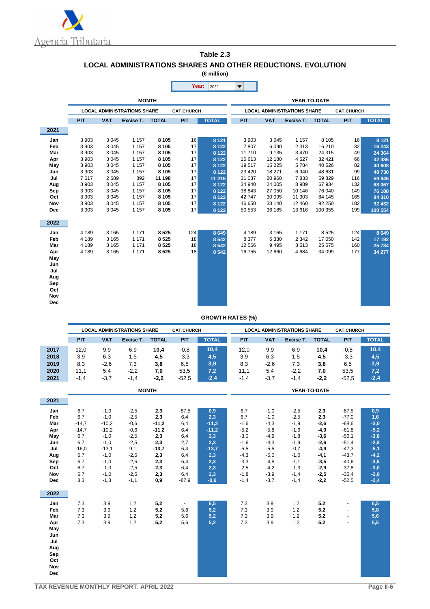

#### **Table 2.3 LOCAL ADMINISTRATIONS SHARES AND OTHER REDUCTIONS. EVOLUTION (€ million)**

×

|            |         |            |                                    |              | Year:             | 2022         |         |                                    |           |              |                   |              |
|------------|---------|------------|------------------------------------|--------------|-------------------|--------------|---------|------------------------------------|-----------|--------------|-------------------|--------------|
|            |         |            |                                    | <b>MONTH</b> |                   |              |         |                                    |           | YEAR-TO-DATE |                   |              |
|            |         |            | <b>LOCAL ADMINISTRATIONS SHARE</b> |              | <b>CAT.CHURCH</b> |              |         | <b>LOCAL ADMINISTRATIONS SHARE</b> |           |              | <b>CAT.CHURCH</b> |              |
|            | PIT     | <b>VAT</b> | Excise T.                          | <b>TOTAL</b> | <b>PIT</b>        | <b>TOTAL</b> | PIT     | <b>VAT</b>                         | Excise T. | <b>TOTAL</b> | PIT               | <b>TOTAL</b> |
| 2021       |         |            |                                    |              |                   |              |         |                                    |           |              |                   |              |
| Jan        | 3 9 0 3 | 3 0 4 5    | 1 1 5 7                            | 8 1 0 5      | 16                | 8 1 2 1      | 3 9 0 3 | 3 0 4 5                            | 1 1 5 7   | 8 1 0 5      | 16                | 8 1 2 1      |
| Feb        | 3 9 0 3 | 3 0 4 5    | 1 1 5 7                            | 8 1 0 5      | 17                | 8 1 2 2      | 7807    | 6 0 9 0                            | 2 3 1 3   | 16 210       | 32                | 16 243       |
| Mar        | 3 9 0 3 | 3 0 4 5    | 1 1 5 7                            | 8 1 0 5      | 17                | 8 1 2 2      | 11710   | 9 1 3 5                            | 3 4 7 0   | 24 3 15      | 49                | 24 3 64      |
| Apr        | 3 9 0 3 | 3 0 4 5    | 1 1 5 7                            | 8 1 0 5      | 17                | 8 1 2 2      | 15 613  | 12 180                             | 4 6 27    | 32 4 21      | 66                | 32 486       |
| May        | 3 9 0 3 | 3 0 4 5    | 1 1 5 7                            | 8 1 0 5      | 17                | 8 1 2 2      | 19517   | 15 2 25                            | 5784      | 40 526       | 82                | 40 608       |
| Jun        | 3 9 0 3 | 3 0 4 5    | 1 1 5 7                            | 8 1 0 5      | 17                | 8 1 2 2      | 23 4 20 | 18 271                             | 6940      | 48 631       | 99                | 48730        |
| Jul        | 7617    | 2689       | 892                                | 11 198       | 17                | 11 215       | 31 0 37 | 20 960                             | 7833      | 59829        | 116               | 59 945       |
| Aug        | 3 9 0 3 | 3 0 4 5    | 1 1 5 7                            | 8 1 0 5      | 17                | 8 1 2 2      | 34 940  | 24 005                             | 8989      | 67934        | 132               | 68 067       |
| Sep        | 3 9 0 3 | 3 0 4 5    | 1 1 5 7                            | 8 1 0 5      | 17                | 8 1 2 2      | 38 843  | 27 050                             | 10 146    | 76 040       | 149               | 76 188       |
| Oct        | 3 9 0 3 | 3 0 4 5    | 1 1 5 7                            | 8 1 0 5      | 17                | 8 1 2 2      | 42747   | 30 095                             | 11 303    | 84 145       | 165               | 84 310       |
| Nov        | 3 9 0 3 | 3 0 4 5    | 1 1 5 7                            | 8 1 0 5      | 17                | 8 1 2 2      | 46 650  | 33 140                             | 12 460    | 92 250       | 182               | 92 432       |
| <b>Dec</b> | 3 9 0 3 | 3 0 4 5    | 1 1 5 7                            | 8 1 0 5      | 17                | 8 1 2 2      | 50 553  | 36 185                             | 13616     | 100 355      | 199               | 100 554      |
| 2022       |         |            |                                    |              |                   |              |         |                                    |           |              |                   |              |
| Jan        | 4 189   | 3 1 6 5    | 1 1 7 1                            | 8525         | 124               | 8 6 4 9      | 4 1 8 9 | 3 1 6 5                            | 1 1 7 1   | 8525         | 124               | 8 6 4 9      |
| Feb        | 4 1 8 9 | 3 1 6 5    | 1 1 7 1                            | 8525         | 18                | 8 5 4 2      | 8 3 7 7 | 6 3 3 0                            | 2 3 4 2   | 17 050       | 142               | 17 192       |
| Mar        | 4 1 8 9 | 3 1 6 5    | 1 1 7 1                            | 8525         | 18                | 8 5 4 2      | 12 5 66 | 9495                               | 3513      | 25 575       | 160               | 25 734       |
| Apr        | 4 1 8 9 | 3 1 6 5    | 1 1 7 1                            | 8525         | 18                | 8 5 4 2      | 16755   | 12 660                             | 4684      | 34 099       | 177               | 34 277       |
| May        |         |            |                                    |              |                   |              |         |                                    |           |              |                   |              |
| Jun        |         |            |                                    |              |                   |              |         |                                    |           |              |                   |              |
| Jul        |         |            |                                    |              |                   |              |         |                                    |           |              |                   |              |
| Aug        |         |            |                                    |              |                   |              |         |                                    |           |              |                   |              |
| Sep        |         |            |                                    |              |                   |              |         |                                    |           |              |                   |              |
| Oct        |         |            |                                    |              |                   |              |         |                                    |           |              |                   |              |
| <b>Nov</b> |         |            |                                    |              |                   |              |         |                                    |           |              |                   |              |
| <b>Dec</b> |         |            |                                    |              |                   |              |         |                                    |           |              |                   |              |
|            |         |            |                                    |              |                   |              |         |                                    |           |              |                   |              |

#### **GROWTH RATES (%)**

|              | <b>LOCAL ADMINISTRATIONS SHARE</b> |            |           |              | <b>CAT.CHURCH</b> |              | <b>LOCAL ADMINISTRATIONS SHARE</b><br><b>CAT.CHURCH</b> |        |           |                     |         |              |
|--------------|------------------------------------|------------|-----------|--------------|-------------------|--------------|---------------------------------------------------------|--------|-----------|---------------------|---------|--------------|
|              | <b>PIT</b>                         | <b>VAT</b> | Excise T. | <b>TOTAL</b> | PIT               | <b>TOTAL</b> | PIT                                                     | VAT    | Excise T. | <b>TOTAL</b>        | PIT     | <b>TOTAL</b> |
| 2017         | 12,0                               | 9,9        | 6,9       | 10,4         | $-0.8$            | 10.4         | 12,0                                                    | 9,9    | 6,9       | 10,4                | $-0.8$  | 10,4         |
| 2018         | 3,9                                | 6,3        | 1,5       | 4,5          | $-3.3$            | 4,5          | 3,9                                                     | 6,3    | 1,5       | 4,5                 | $-3,3$  | 4,5          |
| 2019         | 8,3                                | $-2,6$     | 7,3       | 3,8          | 6,5               | 3,9          | 8,3                                                     | $-2,6$ | 7.3       | 3,8                 | 6,5     | 3,9          |
| 2020         | 11,1                               | 5,4        | $-2,2$    | 7.0          | 53.5              | 7,2          | 11,1                                                    | 5,4    | $-2,2$    | 7,0                 | 53,5    | 7,2          |
| 2021         | $-1,4$                             | $-3,7$     | $-1,4$    | $-2,2$       | $-52.5$           | $-2,4$       | $-1,4$                                                  | $-3,7$ | $-1,4$    | $-2,2$              | $-52.5$ | $-2,4$       |
| <b>MONTH</b> |                                    |            |           |              |                   |              |                                                         |        |           | <b>YEAR-TO-DATE</b> |         |              |

| 2021 |         |         |        |         |                |         |        |        |        |        |         |        |
|------|---------|---------|--------|---------|----------------|---------|--------|--------|--------|--------|---------|--------|
| Jan  | 6,7     | $-1,0$  | $-2,5$ | 2,3     | $-87,5$        | 0,9     | 6,7    | $-1,0$ | $-2,5$ | 2,3    | $-87,5$ | 0,9    |
| Feb  | 6,7     | $-1,0$  | $-2,5$ | 2,3     | 6,4            | 2,3     | 6,7    | $-1,0$ | $-2,5$ | 2,3    | $-77,0$ | 1,6    |
| Mar  | $-14,7$ | $-10,2$ | $-0,6$ | $-11,2$ | 6,4            | $-11,2$ | $-1,6$ | $-4,3$ | $-1,9$ | $-2,6$ | $-68,6$ | $-3,0$ |
| Apr  | $-14,7$ | $-10,2$ | $-0,6$ | $-11,2$ | 6,4            | $-11,2$ | $-5,2$ | $-5,8$ | $-1,6$ | $-4,9$ | $-61,8$ | $-5,2$ |
| May  | 6,7     | $-1,0$  | $-2,5$ | 2,3     | 6,4            | 2,3     | $-3,0$ | $-4,9$ | $-1,8$ | $-3,6$ | $-56,1$ | $-3,8$ |
| Jun  | 6,7     | $-1,0$  | $-2,5$ | 2,3     | 2,7            | 2,3     | $-1,6$ | $-4,3$ | $-1,9$ | $-2,6$ | $-51,4$ | $-2,8$ |
| Jul  | $-16,0$ | $-13,1$ | 9,1    | $-13,7$ | 6,4            | $-13,7$ | $-5,5$ | $-5,5$ | $-0,7$ | $-4,9$ | $-47,3$ | $-5,1$ |
| Aug  | 6,7     | $-1,0$  | $-2,5$ | 2,3     | 6,4            | 2,3     | $-4,3$ | $-5,0$ | $-1,0$ | $-4,1$ | $-43,7$ | $-4,2$ |
| Sep  | 6,7     | $-1,0$  | $-2,5$ | 2,3     | 6,4            | 2,3     | $-3,3$ | $-4,5$ | $-1,1$ | $-3,5$ | $-40,6$ | $-3,6$ |
| Oct  | 6,7     | $-1,0$  | $-2,5$ | 2,3     | 6,4            | 2,3     | $-2,5$ | $-4,2$ | $-1,3$ | $-2,9$ | $-37,8$ | $-3,0$ |
| Nov  | 6,7     | $-1,0$  | $-2,5$ | 2,3     | 6,4            | 2,3     | $-1,8$ | $-3,9$ | $-1,4$ | $-2,5$ | $-35,4$ | $-2,6$ |
| Dec  | 3,3     | $-1,3$  | $-1,1$ | 0,9     | $-87,9$        | $-0,6$  | $-1,4$ | $-3,7$ | $-1,4$ | $-2,2$ | $-52,5$ | $-2,4$ |
|      |         |         |        |         |                |         |        |        |        |        |         |        |
| 2022 |         |         |        |         |                |         |        |        |        |        |         |        |
| Jan  | 7,3     | 3,9     | 1,2    | 5,2     | $\blacksquare$ | 6,5     | 7,3    | 3,9    | 1,2    | 5,2    |         | 6,5    |
| Feb  | 7,3     | 3,9     | 1,2    | 5,2     | 5,6            | 5,2     | 7,3    | 3,9    | 1,2    | 5,2    |         | 5,8    |
| Mar  | 7,3     | 3,9     | 1,2    | 5,2     | 5,6            | 5,2     | 7,3    | 3,9    | 1,2    | 5,2    |         | 5,6    |
| Apr  | 7,3     | 3,9     | 1,2    | 5,2     | 5,6            | 5,2     | 7,3    | 3,9    | 1,2    | 5,2    |         | $5,5$  |
| May  |         |         |        |         |                |         |        |        |        |        |         |        |
| Jun  |         |         |        |         |                |         |        |        |        |        |         |        |
| Jul  |         |         |        |         |                |         |        |        |        |        |         |        |
| Aug  |         |         |        |         |                |         |        |        |        |        |         |        |
| Sep  |         |         |        |         |                |         |        |        |        |        |         |        |
| Oct  |         |         |        |         |                |         |        |        |        |        |         |        |
|      |         |         |        |         |                |         |        |        |        |        |         |        |
| Nov  |         |         |        |         |                |         |        |        |        |        |         |        |
| Dec  |         |         |        |         |                |         |        |        |        |        |         |        |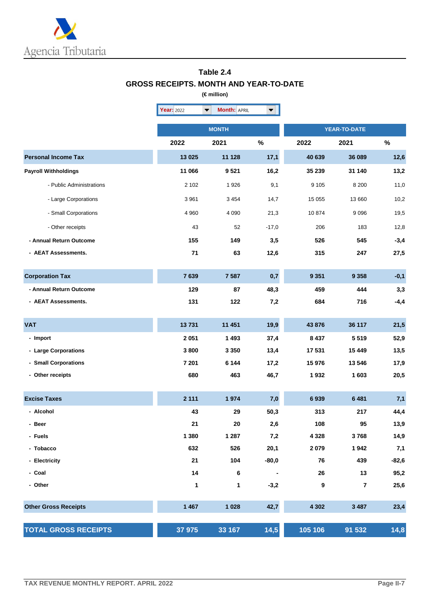

#### **Table 2.4 GROSS RECEIPTS. MONTH AND YEAR-TO-DATE (€ million)**

|                             | Year: 2022 | <b>Month: APRIL</b><br>$\blacktriangledown$ | $\blacktriangledown$     |                     |                |         |  |
|-----------------------------|------------|---------------------------------------------|--------------------------|---------------------|----------------|---------|--|
|                             |            | <b>MONTH</b>                                |                          | <b>YEAR-TO-DATE</b> |                |         |  |
|                             | 2022       | 2021                                        | $\%$                     | 2022                | 2021           | $\%$    |  |
| <b>Personal Income Tax</b>  | 13 0 25    | 11 128                                      | 17,1                     | 40 639              | 36 089         | 12,6    |  |
| <b>Payroll Withholdings</b> | 11 066     | 9521                                        | 16,2                     | 35 239              | 31 140         | 13,2    |  |
| - Public Administrations    | 2 102      | 1926                                        | 9,1                      | 9 1 0 5             | 8 2 0 0        | 11,0    |  |
| - Large Corporations        | 3 9 6 1    | 3 4 5 4                                     | 14,7                     | 15 055              | 13 660         | 10,2    |  |
| - Small Corporations        | 4 9 6 0    | 4 0 9 0                                     | 21,3                     | 10874               | 9096           | 19,5    |  |
| - Other receipts            | 43         | 52                                          | $-17,0$                  | 206                 | 183            | 12,8    |  |
| - Annual Return Outcome     | 155        | 149                                         | 3,5                      | 526                 | 545            | $-3,4$  |  |
| - AEAT Assessments.         | 71         | 63                                          | 12,6                     | 315                 | 247            | 27,5    |  |
| <b>Corporation Tax</b>      | 7639       | 7 5 8 7                                     | 0,7                      | 9 3 5 1             | 9 3 5 8        | $-0,1$  |  |
| - Annual Return Outcome     | 129        | 87                                          | 48,3                     | 459                 | 444            | 3,3     |  |
| - AEAT Assessments.         | 131        | 122                                         | 7,2                      | 684                 | 716            | $-4,4$  |  |
| <b>VAT</b>                  | 13731      | 11 451                                      | 19,9                     | 43 876              | 36 117         | 21,5    |  |
| - Import                    | 2 0 5 1    | 1 4 9 3                                     | 37,4                     | 8 4 3 7             | 5519           | 52,9    |  |
| - Large Corporations        | 3800       | 3 3 5 0                                     | 13,4                     | 17 531              | 15 4 49        | 13,5    |  |
| - Small Corporations        | 7 201      | 6 1 4 4                                     | 17,2                     | 15 976              | 13 546         | 17,9    |  |
| - Other receipts            | 680        | 463                                         | 46,7                     | 1932                | 1 603          | 20,5    |  |
| <b>Excise Taxes</b>         | 2 1 1 1    | 1974                                        | 7,0                      | 6939                | 6 4 8 1        | 7,1     |  |
| - Alcohol                   | 43         | 29                                          | 50,3                     | 313                 | 217            | 44,4    |  |
| - Beer                      | 21         | 20                                          | 2,6                      | 108                 | 95             | 13,9    |  |
| - Fuels                     | 1 3 8 0    | 1 2 8 7                                     | 7,2                      | 4 3 2 8             | 3768           | 14,9    |  |
| - Tobacco                   | 632        | 526                                         | 20,1                     | 2079                | 1942           | 7,1     |  |
| - Electricity               | 21         | 104                                         | $-80,0$                  | 76                  | 439            | $-82,6$ |  |
| - Coal                      | 14         | 6                                           | $\overline{\phantom{a}}$ | 26                  | 13             | 95,2    |  |
| - Other                     | 1          | 1                                           | $-3,2$                   | $\boldsymbol{9}$    | $\overline{7}$ | 25,6    |  |
| <b>Other Gross Receipts</b> | 1 4 6 7    | 1 0 28                                      | 42,7                     | 4 3 0 2             | 3 4 8 7        | 23,4    |  |
| <b>TOTAL GROSS RECEIPTS</b> | 37 975     | 33 167                                      | 14,5                     | 105 106             | 91 532         | 14,8    |  |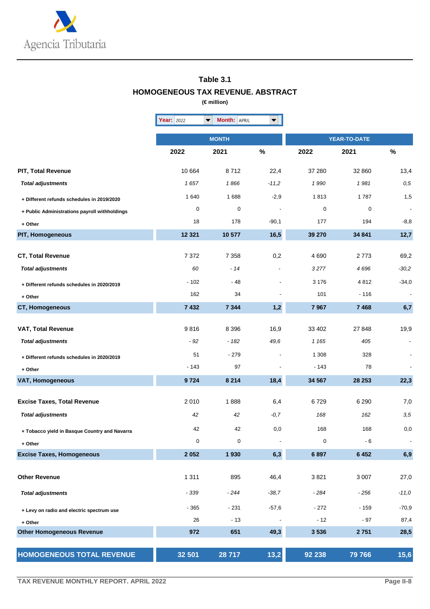

### **Table 3.1 HOMOGENEOUS TAX REVENUE. ABSTRACT**

**(€ million)**

|                                               | Year: 2022 | <b>Month: APRIL</b><br>$\blacktriangledown$ | $\blacktriangledown$     |         |                     |                          |
|-----------------------------------------------|------------|---------------------------------------------|--------------------------|---------|---------------------|--------------------------|
|                                               |            | <b>MONTH</b>                                |                          |         | <b>YEAR-TO-DATE</b> |                          |
|                                               | 2022       | 2021                                        | $\%$                     | 2022    | 2021                | $\%$                     |
| <b>PIT, Total Revenue</b>                     | 10 664     | 8712                                        | 22,4                     | 37 280  | 32 860              | 13,4                     |
| <b>Total adjustments</b>                      | 1657       | 1866                                        | $-11,2$                  | 1990    | 1981                | $\it 0.5$                |
| + Different refunds schedules in 2019/2020    | 1 640      | 1688                                        | $-2,9$                   | 1813    | 1787                | 1,5                      |
| + Public Administrations payroll withholdings | 0          | 0                                           | $\overline{\phantom{a}}$ | 0       | $\mathbf 0$         | $\overline{\phantom{a}}$ |
| + Other                                       | 18         | 178                                         | $-90,1$                  | 177     | 194                 | $-8,8$                   |
| <b>PIT, Homogeneous</b>                       | 12 3 21    | 10 577                                      | 16,5                     | 39 270  | 34 841              | 12,7                     |
| <b>CT, Total Revenue</b>                      | 7372       | 7 3 5 8                                     | 0,2                      | 4690    | 2773                | 69,2                     |
| <b>Total adjustments</b>                      | 60         | - 14                                        |                          | 3277    | 4696                | $-30,2$                  |
| + Different refunds schedules in 2020/2019    | $-102$     | $-48$                                       |                          | 3 1 7 6 | 4812                | $-34,0$                  |
| + Other                                       | 162        | 34                                          |                          | 101     | $-116$              |                          |
| CT, Homogeneous                               | 7 4 3 2    | 7 3 4 4                                     | 1,2                      | 7967    | 7 4 6 8             | 6,7                      |
| VAT, Total Revenue                            | 9816       | 8 3 9 6                                     | 16,9                     | 33 402  | 27 848              | 19,9                     |
| <b>Total adjustments</b>                      | - 92       | $-182$                                      | 49,6                     | 1 1 6 5 | 405                 |                          |
| + Different refunds schedules in 2020/2019    | 51         | $-279$                                      |                          | 1 3 0 8 | 328                 |                          |
| + Other                                       | $-143$     | 97                                          |                          | $-143$  | 78                  |                          |
| <b>VAT, Homogeneous</b>                       | 9724       | 8 2 1 4                                     | 18,4                     | 34 567  | 28 253              | 22,3                     |
| <b>Excise Taxes, Total Revenue</b>            | 2010       | 1888                                        | 6,4                      | 6729    | 6 2 9 0             | 7,0                      |
| <b>Total adjustments</b>                      | 42         | 42                                          | $-0, 7$                  | 168     | 162                 | 3,5                      |
| + Tobacco yield in Basque Country and Navarra | 42         | 42                                          | 0,0                      | 168     | 168                 | 0,0                      |
| + Other                                       | $\pmb{0}$  | 0                                           |                          | 0       | - 6                 |                          |
| <b>Excise Taxes, Homogeneous</b>              | 2 0 5 2    | 1930                                        | 6,3                      | 6897    | 6 4 5 2             | 6,9                      |
| <b>Other Revenue</b>                          | 1 3 1 1    | 895                                         | 46,4                     | 3821    | 3 0 0 7             | 27,0                     |
|                                               |            |                                             |                          |         |                     |                          |
| <b>Total adjustments</b>                      | - 339      | - 244                                       | $-38,7$                  | - 284   | $-256$              | $-11,0$                  |
| + Levy on radio and electric spectrum use     | $-365$     | $-231$                                      | $-57,6$                  | $-272$  | $-159$              | $-70,9$                  |
| + Other                                       | 26         | $-13$                                       |                          | $-12$   | $-97$               | 87,4                     |
| <b>Other Homogeneous Revenue</b>              | 972        | 651                                         | 49,3                     | 3 5 3 6 | 2751                | 28,5                     |
| <b>HOMOGENEOUS TOTAL REVENUE</b>              | 32 501     | 28 717                                      | 13,2                     | 92 238  | 79 766              | 15,6                     |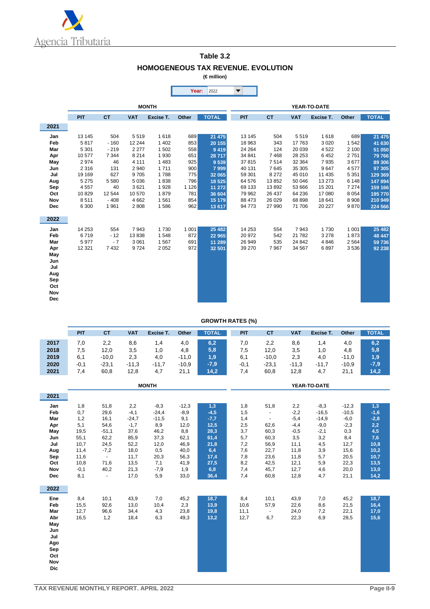

| Table 3.2                                 |
|-------------------------------------------|
| <b>HOMOGENEOUS TAX REVENUE. EVOLUTION</b> |
| (€ million)                               |

|            |              |               |                  |              | Year:      | 2022             | $\blacktriangledown$ |            |                    |                 |              |                  |  |
|------------|--------------|---------------|------------------|--------------|------------|------------------|----------------------|------------|--------------------|-----------------|--------------|------------------|--|
|            |              |               |                  |              |            |                  |                      |            |                    |                 |              |                  |  |
|            |              |               |                  | <b>MONTH</b> |            |                  | YEAR-TO-DATE         |            |                    |                 |              |                  |  |
|            | <b>PIT</b>   | <b>CT</b>     | <b>VAT</b>       | Excise T.    | Other      | <b>TOTAL</b>     | PIT                  | <b>CT</b>  | <b>VAT</b>         | Excise T.       | Other        | <b>TOTAL</b>     |  |
| 2021       |              |               |                  |              |            |                  |                      |            |                    |                 |              |                  |  |
| Jan        | 13 145       | 504           | 5519             | 1618         | 689        | 21 4 7 5         | 13 145               | 504        | 5519               | 1618            | 689          | 21 475           |  |
| Feb        | 5817         | $-160$        | 12 244           | 1 4 0 2      | 853        | 20 155           | 18 963               | 343        | 17 763             | 3 0 2 0         | 1 5 4 2      | 41 630           |  |
| Mar        | 5 3 0 1      | $-219$        | 2 2 7 7          | 1 502        | 558        | 9419             | 24 264               | 124        | 20 039             | 4522            | 2 100        | 51 050           |  |
| Apr        | 10577        | 7 3 4 4       | 8 2 1 4          | 1930         | 651        | 28 717           | 34 841               | 7468       | 28 253             | 6452            | 2751         | 79 766           |  |
| May        | 2974         | 46            | 4 1 1 1          | 1 4 8 3      | 925        | 9539             | 37815                | 7514       | 32 364             | 7935            | 3677         | 89 30 6          |  |
| Jun        | 2 3 1 6      | 131           | 2 9 4 0          | 1711         | 900        | 7 9 9 9          | 40 131               | 7645       | 35 305             | 9647            | 4577         | 97 305           |  |
| Jul        | 19 169       | 627           | 9705             | 1788         | 775        | 32 065           | 59 301               | 8 2 7 2    | 45 010             | 11 4 35         | 5 3 5 1      | 129 369          |  |
| Aug        | 5 2 7 5      | 5 5 8 0       | 5 0 36           | 1838         | 796        | 18 5 25          | 64 576               | 13852      | 50 046             | 13 273          | 6 1 4 8      | 147 894          |  |
| Sep        | 4557         | 40            | 3621             | 1928         | 1 1 2 6    | 11 272           | 69 133               | 13892      | 53 666             | 15 201          | 7 2 7 4      | 159 166          |  |
| Oct        | 10829        | 12 544        | 10 570           | 1879         | 781        | 36 604           | 79 962               | 26 437     | 64 236             | 17 080          | 8 0 5 4      | 195 770          |  |
| Nov        | 8511         | $-408$        | 4 6 6 2          | 1561         | 854        | 15 179           | 88 473               | 26 0 29    | 68 898             | 18 641          | 8 9 0 8      | 210 949          |  |
| <b>Dec</b> | 6 300        | 1961          | 2808             | 1586         | 962        | 13 617           | 94 773               | 27 990     | 71 706             | 20 227          | 9870         | 224 566          |  |
| 2022       |              |               |                  |              |            |                  |                      |            |                    |                 |              |                  |  |
|            |              |               |                  |              |            |                  |                      |            |                    |                 |              |                  |  |
| Jan<br>Feb | 14 253       | 554           | 7943             | 1730         | 1001       | 25 4 82          | 14 253               | 554        | 7943               | 1730            | 1001<br>1873 | 25 4 8 2         |  |
| Mar        | 6719<br>5977 | $-12$<br>$-7$ | 13838<br>3 0 6 1 | 1548<br>1567 | 872<br>691 | 22 965           | 20 972<br>26 949     | 542<br>535 | 21 7 8 2<br>24 842 | 3 2 7 8<br>4846 | 2 5 6 4      | 48 447           |  |
| Apr        | 12 3 21      | 7432          | 9724             | 2 0 5 2      | 972        | 11 289<br>32 501 | 39 270               | 7967       | 34 567             | 6897            | 3536         | 59 736<br>92 238 |  |
| May        |              |               |                  |              |            |                  |                      |            |                    |                 |              |                  |  |
| Jun        |              |               |                  |              |            |                  |                      |            |                    |                 |              |                  |  |
| Jul        |              |               |                  |              |            |                  |                      |            |                    |                 |              |                  |  |
| Aug        |              |               |                  |              |            |                  |                      |            |                    |                 |              |                  |  |
| Sep        |              |               |                  |              |            |                  |                      |            |                    |                 |              |                  |  |
| Oct        |              |               |                  |              |            |                  |                      |            |                    |                 |              |                  |  |
| Nov        |              |               |                  |              |            |                  |                      |            |                    |                 |              |                  |  |
| <b>Dec</b> |              |               |                  |              |            |                  |                      |            |                    |                 |              |                  |  |
|            |              |               |                  |              |            |                  |                      |            |                    |                 |              |                  |  |

#### **GROWTH RATES (%)**

|      | PIT    | <b>CT</b> | VAT     | Excise T. | Other   | <b>TOTAL</b> | PIT    | <b>CT</b> | VAT     | Excise T. | Other   | <b>TOTAL</b> |
|------|--------|-----------|---------|-----------|---------|--------------|--------|-----------|---------|-----------|---------|--------------|
| 2017 | 7,0    | 2,2       | 8,6     | 1,4       | 4,0     | 6,2          | 7,0    | 2,2       | 8,6     | 1.4       | 4,0     | 6,2          |
| 2018 | 7,5    | 12,0      | 3,5     | 1.0       | 4,8     | 5,8          | 7,5    | 12,0      | 3,5     | 1,0       | 4,8     | 5,8          |
| 2019 | 6,1    | $-10,0$   | 2,3     | 4,0       | $-11,0$ | 1,9          | 6,1    | $-10,0$   | 2,3     | 4,0       | $-11.0$ | 1,9          |
| 2020 | $-0,1$ | $-23,1$   | $-11,3$ | $-11.7$   | $-10,9$ | $-7,9$       | $-0,1$ | $-23.1$   | $-11.3$ | $-11,7$   | $-10,9$ | $-7,9$       |
| 2021 | 7.4    | 60,8      | 12,8    | 4,7       | 21,1    | 14,2         | 7.4    | 60,8      | 12,8    | 4,7       | 21,1    | 14,2         |

|                                                                                         |                                                                                    |                                                                                               |                                                                                            | <b>MONTH</b>                                                                                |                                                                                        |                                                                                       |                                                                           |                                                                                                          |                                                                                            | YEAR-TO-DATE                                                                               |                                                                                              |                                                                                      |
|-----------------------------------------------------------------------------------------|------------------------------------------------------------------------------------|-----------------------------------------------------------------------------------------------|--------------------------------------------------------------------------------------------|---------------------------------------------------------------------------------------------|----------------------------------------------------------------------------------------|---------------------------------------------------------------------------------------|---------------------------------------------------------------------------|----------------------------------------------------------------------------------------------------------|--------------------------------------------------------------------------------------------|--------------------------------------------------------------------------------------------|----------------------------------------------------------------------------------------------|--------------------------------------------------------------------------------------|
| 2021                                                                                    |                                                                                    |                                                                                               |                                                                                            |                                                                                             |                                                                                        |                                                                                       |                                                                           |                                                                                                          |                                                                                            |                                                                                            |                                                                                              |                                                                                      |
| Jan<br>Feb<br>Mar<br>Apr<br>May<br>Jun<br>Jul<br>Aug<br>Sep<br>Oct<br>Nov               | 1,8<br>0,7<br>1,2<br>5,1<br>19,5<br>55,1<br>10,7<br>11,4<br>11,6<br>10,8<br>$-0,1$ | 51,8<br>29,6<br>16,1<br>54,6<br>$-51,1$<br>62,2<br>24,5<br>$-7,2$<br>$\omega$<br>71,6<br>40,2 | 2,2<br>$-4,1$<br>$-24,7$<br>$-1,7$<br>37,6<br>85,9<br>52,2<br>18,0<br>11,7<br>13,5<br>21,3 | $-8,3$<br>$-24,4$<br>$-11,5$<br>8,9<br>46,2<br>37,3<br>12,0<br>0,5<br>20,3<br>7,1<br>$-7,9$ | $-12,3$<br>$-8,9$<br>9,1<br>12,0<br>8,8<br>62,1<br>46,9<br>40,0<br>56,3<br>41,9<br>1,9 | 1,3<br>$-4,5$<br>$-7,7$<br>12,5<br>28,3<br>61,4<br>21,8<br>6,4<br>17,4<br>27,5<br>6,8 | 1,8<br>1,5<br>1,4<br>2,5<br>3,7<br>5,7<br>7,2<br>7,6<br>7,8<br>8,2<br>7,4 | 51,8<br>$\blacksquare$<br>$\blacksquare$<br>62,6<br>60,3<br>60,3<br>56,9<br>22,7<br>23,6<br>42,5<br>45,7 | 2,2<br>$-2,2$<br>$-5,4$<br>$-4,4$<br>$-0,5$<br>3,5<br>11,1<br>11,8<br>11,8<br>12,1<br>12,7 | $-8,3$<br>$-16,5$<br>$-14,9$<br>$-9,0$<br>$-2,1$<br>3,2<br>4,5<br>3,9<br>5,7<br>5,9<br>4,6 | $-12,3$<br>$-10,5$<br>$-6,0$<br>$-2,3$<br>0,3<br>8,4<br>12,7<br>15,6<br>20,5<br>22,3<br>20,0 | 1,3<br>$-1,6$<br>$-2,8$<br>2,2<br>4,5<br>7,6<br>10,8<br>10,2<br>10,7<br>13,5<br>13,0 |
| Dec                                                                                     | 8,1                                                                                | $\blacksquare$                                                                                | 17,0                                                                                       | 5,9                                                                                         | 33,0                                                                                   | 36,4                                                                                  | 7,4                                                                       | 60,8                                                                                                     | 12,8                                                                                       | 4,7                                                                                        | 21,1                                                                                         | 14,2                                                                                 |
| 2022                                                                                    |                                                                                    |                                                                                               |                                                                                            |                                                                                             |                                                                                        |                                                                                       |                                                                           |                                                                                                          |                                                                                            |                                                                                            |                                                                                              |                                                                                      |
| Ene<br>Feb<br>Mar<br>Abr<br>May<br>Jun<br>Jul<br>Ago<br>Sep<br>Oct<br>Nov<br><b>Dic</b> | 8,4<br>15,5<br>12,7<br>16,5                                                        | 10,1<br>92,6<br>96,6<br>1,2                                                                   | 43,9<br>13,0<br>34,4<br>18,4                                                               | 7,0<br>10,4<br>4,3<br>6,3                                                                   | 45,2<br>2,3<br>23,8<br>49,3                                                            | 18,7<br>13,9<br>19,8<br>13,2                                                          | 8,4<br>10,6<br>11,1<br>12,7                                               | 10,1<br>57,9<br>$\sim$<br>6,7                                                                            | 43,9<br>22,6<br>24,0<br>22,3                                                               | 7,0<br>8,6<br>7,2<br>6,9                                                                   | 45,2<br>21,5<br>22,1<br>28,5                                                                 | 18,7<br>16,4<br>17,0<br>15,6                                                         |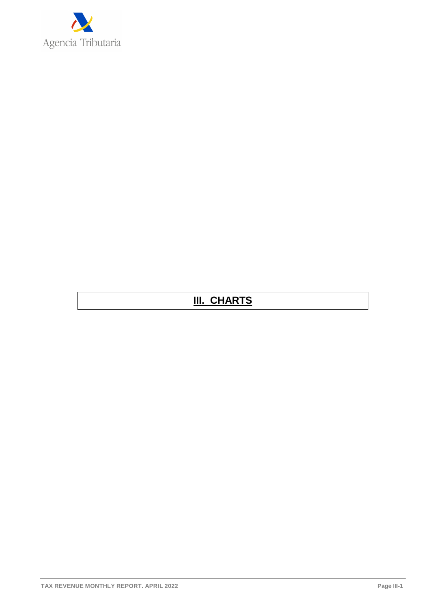

## **III. CHARTS**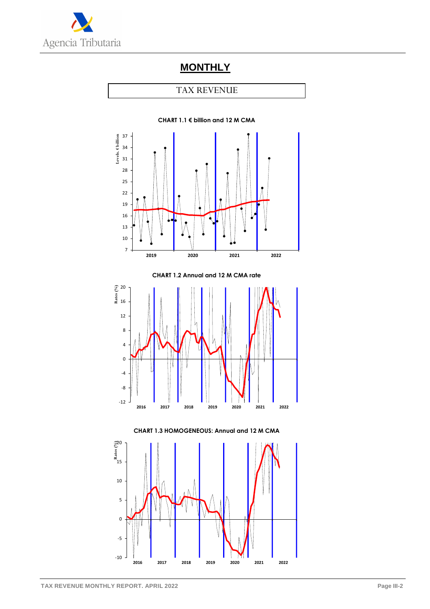

## **MONTHLY**

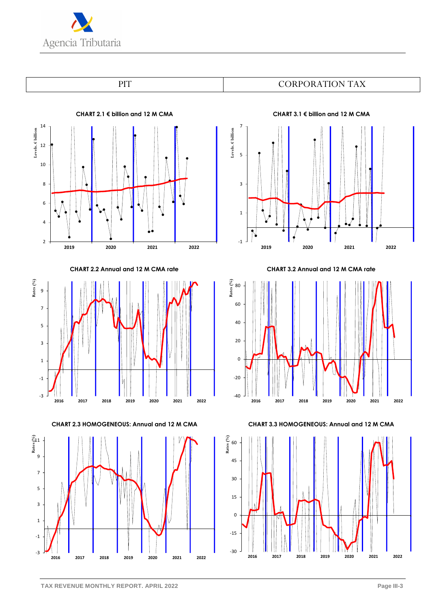





**CHART 2.2 Annual and 12 M CMA rate**



**CHART 2.3 HOMOGENEOUS: Annual and 12 M CMA**



**CHART 3.1 € billion and 12 M CMA**



**CHART 3.2 Annual and 12 M CMA rate**



**CHART 3.3 HOMOGENEOUS: Annual and 12 M CMA**

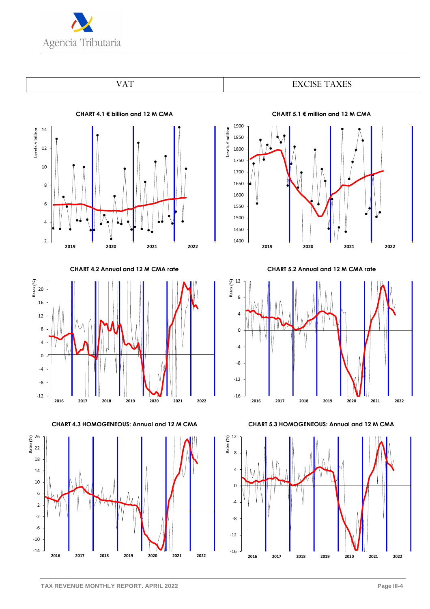



1900



**CHART 4.2 Annual and 12 M CMA rate**



**CHART 4.3 HOMOGENEOUS: Annual and 12 M CMA**



**CHART 5.1 € million and 12 M CMA**



**CHART 5.2 Annual and 12 M CMA rate**



**CHART 5.3 HOMOGENEOUS: Annual and 12 M CMA**

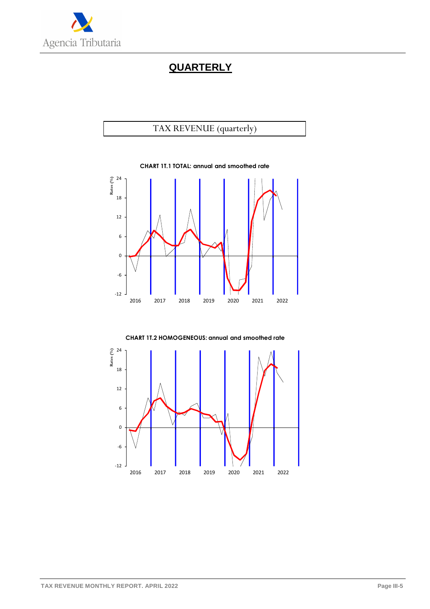

## **QUARTERLY**





**CHART 1T.2 HOMOGENEOUS: annual and smoothed rate**

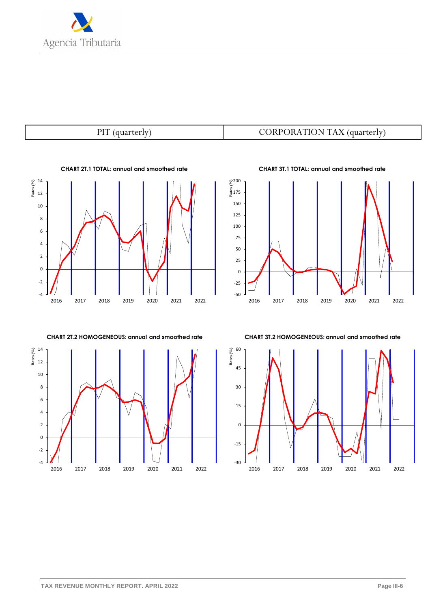

-4 -2 0 2 4 6 8 10 12 **Rates** 14<br> **Rates** 12 2016 2017 2018 2019 2020 2021 2022

**CHART 2T.1 TOTAL: annual and smoothed rate**

**CHART 2T.2 HOMOGENEOUS: annual and smoothed rate**



## PIT (quarterly)  $\qquad \qquad \qquad$  CORPORATION TAX (quarterly)



**CHART 3T.1 TOTAL: annual and smoothed rate**

**CHART 3T.2 HOMOGENEOUS: annual and smoothed rate**

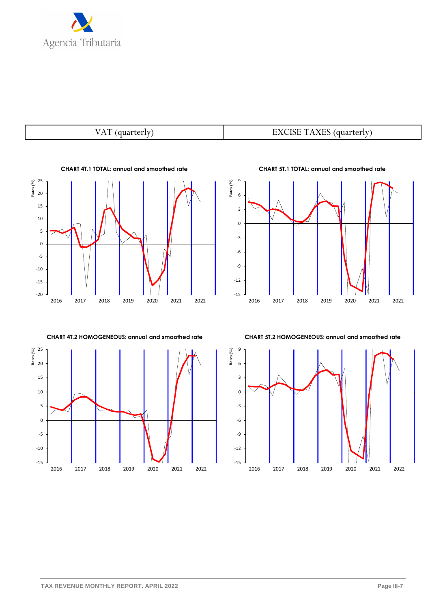

#### VAT (quarterly)  $\qquad \qquad$  EXCISE TAXES (quarterly)



-10 -5 0 5 10 15 20 **8**<br>**Rate**<br>**Rate**<br>**20 CHART 4T.2 HOMOGENEOUS: annual and smoothed rate**

2016 2017 2018 2019 2020 2021 2022

-15 -12 -9 -6 -3 0 3 6 9 2016 2017 2018 2019 2020 2021 2022 **Rates (%)**

**CHART 5T.2 HOMOGENEOUS: annual and smoothed rate**



**CHART 5T.1 TOTAL: annual and smoothed rate**

-15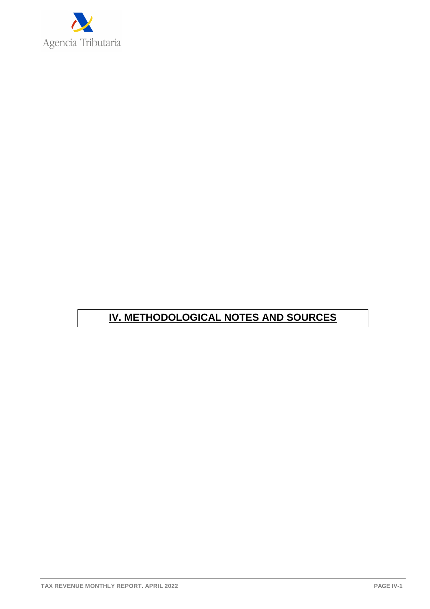

## **IV. METHODOLOGICAL NOTES AND SOURCES**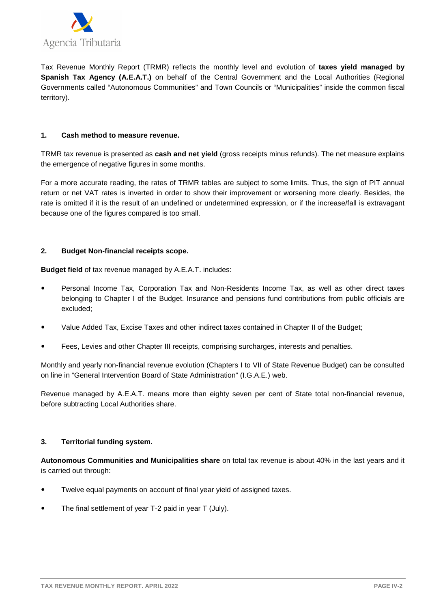

Tax Revenue Monthly Report (TRMR) reflects the monthly level and evolution of **taxes yield managed by Spanish Tax Agency (A.E.A.T.)** on behalf of the Central Government and the Local Authorities (Regional Governments called "Autonomous Communities" and Town Councils or "Municipalities" inside the common fiscal territory).

#### **1. Cash method to measure revenue.**

TRMR tax revenue is presented as **cash and net yield** (gross receipts minus refunds). The net measure explains the emergence of negative figures in some months.

For a more accurate reading, the rates of TRMR tables are subject to some limits. Thus, the sign of PIT annual return or net VAT rates is inverted in order to show their improvement or worsening more clearly. Besides, the rate is omitted if it is the result of an undefined or undetermined expression, or if the increase/fall is extravagant because one of the figures compared is too small.

#### **2. Budget Non-financial receipts scope.**

**Budget field** of tax revenue managed by A.E.A.T. includes:

- Personal Income Tax, Corporation Tax and Non-Residents Income Tax, as well as other direct taxes belonging to Chapter I of the Budget. Insurance and pensions fund contributions from public officials are excluded;
- Value Added Tax, Excise Taxes and other indirect taxes contained in Chapter II of the Budget;
- Fees, Levies and other Chapter III receipts, comprising surcharges, interests and penalties.

Monthly and yearly non-financial revenue evolution (Chapters I to VII of State Revenue Budget) can be consulted on line in "General Intervention Board of State Administration" (I.G.A.E.) web.

Revenue managed by A.E.A.T. means more than eighty seven per cent of State total non-financial revenue, before subtracting Local Authorities share.

#### **3. Territorial funding system.**

**Autonomous Communities and Municipalities share** on total tax revenue is about 40% in the last years and it is carried out through:

- Twelve equal payments on account of final year yield of assigned taxes.
- The final settlement of year T-2 paid in year T (July).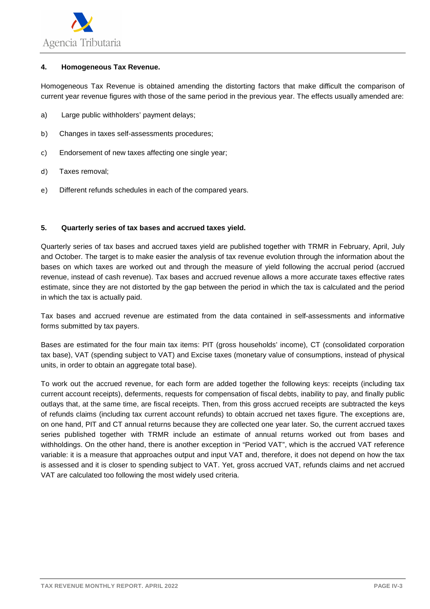

#### **4. Homogeneous Tax Revenue.**

Homogeneous Tax Revenue is obtained amending the distorting factors that make difficult the comparison of current year revenue figures with those of the same period in the previous year. The effects usually amended are:

- a) Large public withholders' payment delays;
- b) Changes in taxes self-assessments procedures;
- c) Endorsement of new taxes affecting one single year;
- d) Taxes removal;
- e) Different refunds schedules in each of the compared years.

#### **5. Quarterly series of tax bases and accrued taxes yield.**

Quarterly series of tax bases and accrued taxes yield are published together with TRMR in February, April, July and October. The target is to make easier the analysis of tax revenue evolution through the information about the bases on which taxes are worked out and through the measure of yield following the accrual period (accrued revenue, instead of cash revenue). Tax bases and accrued revenue allows a more accurate taxes effective rates estimate, since they are not distorted by the gap between the period in which the tax is calculated and the period in which the tax is actually paid.

Tax bases and accrued revenue are estimated from the data contained in self-assessments and informative forms submitted by tax payers.

Bases are estimated for the four main tax items: PIT (gross households' income), CT (consolidated corporation tax base), VAT (spending subject to VAT) and Excise taxes (monetary value of consumptions, instead of physical units, in order to obtain an aggregate total base).

To work out the accrued revenue, for each form are added together the following keys: receipts (including tax current account receipts), deferments, requests for compensation of fiscal debts, inability to pay, and finally public outlays that, at the same time, are fiscal receipts. Then, from this gross accrued receipts are subtracted the keys of refunds claims (including tax current account refunds) to obtain accrued net taxes figure. The exceptions are, on one hand, PIT and CT annual returns because they are collected one year later. So, the current accrued taxes series published together with TRMR include an estimate of annual returns worked out from bases and withholdings. On the other hand, there is another exception in "Period VAT", which is the accrued VAT reference variable: it is a measure that approaches output and input VAT and, therefore, it does not depend on how the tax is assessed and it is closer to spending subject to VAT. Yet, gross accrued VAT, refunds claims and net accrued VAT are calculated too following the most widely used criteria.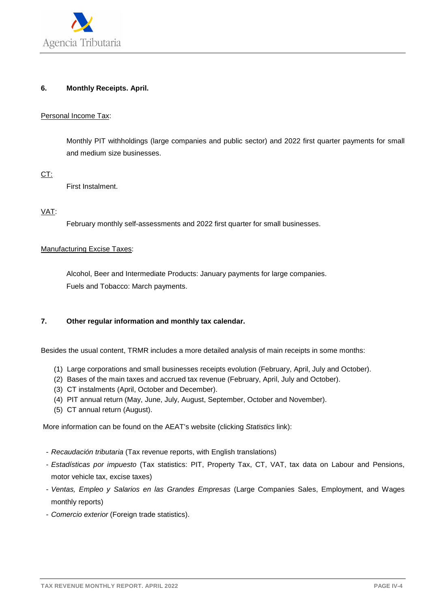

#### **6. Monthly Receipts. April.**

#### Personal Income Tax:

Monthly PIT withholdings (large companies and public sector) and 2022 first quarter payments for small and medium size businesses.

CT:

First Instalment.

#### VAT:

February monthly self-assessments and 2022 first quarter for small businesses.

#### Manufacturing Excise Taxes:

Alcohol, Beer and Intermediate Products: January payments for large companies. Fuels and Tobacco: March payments.

#### **7. Other regular information and monthly tax calendar.**

Besides the usual content, TRMR includes a more detailed analysis of main receipts in some months:

- (1) Large corporations and small businesses receipts evolution (February, April, July and October).
- (2) Bases of the main taxes and accrued tax revenue (February, April, July and October).
- (3) CT instalments (April, October and December).
- (4) PIT annual return (May, June, July, August, September, October and November).
- (5) CT annual return (August).

More information can be found on the AEAT's website (clicking Statistics link):

- Recaudación tributaria (Tax revenue reports, with English translations)
- Estadísticas por impuesto (Tax statistics: PIT, Property Tax, CT, VAT, tax data on Labour and Pensions, motor vehicle tax, excise taxes)
- Ventas, Empleo y Salarios en las Grandes Empresas (Large Companies Sales, Employment, and Wages monthly reports)
- Comercio exterior (Foreign trade statistics).